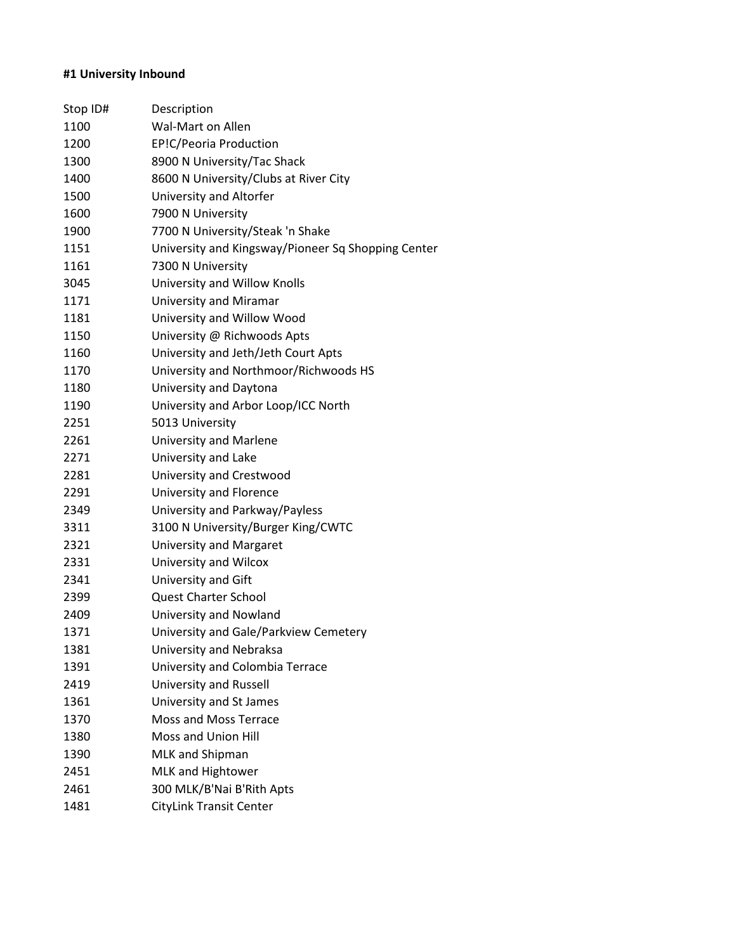# **#1 University Inbound**

| Stop ID# | Description                                        |
|----------|----------------------------------------------------|
| 1100     | Wal-Mart on Allen                                  |
| 1200     | EP!C/Peoria Production                             |
| 1300     | 8900 N University/Tac Shack                        |
| 1400     | 8600 N University/Clubs at River City              |
| 1500     | University and Altorfer                            |
| 1600     | 7900 N University                                  |
| 1900     | 7700 N University/Steak 'n Shake                   |
| 1151     | University and Kingsway/Pioneer Sq Shopping Center |
| 1161     | 7300 N University                                  |
| 3045     | University and Willow Knolls                       |
| 1171     | <b>University and Miramar</b>                      |
| 1181     | University and Willow Wood                         |
| 1150     | University @ Richwoods Apts                        |
| 1160     | University and Jeth/Jeth Court Apts                |
| 1170     | University and Northmoor/Richwoods HS              |
| 1180     | University and Daytona                             |
| 1190     | University and Arbor Loop/ICC North                |
| 2251     | 5013 University                                    |
| 2261     | <b>University and Marlene</b>                      |
| 2271     | University and Lake                                |
| 2281     | University and Crestwood                           |
| 2291     | University and Florence                            |
| 2349     | University and Parkway/Payless                     |
| 3311     | 3100 N University/Burger King/CWTC                 |
| 2321     | University and Margaret                            |
| 2331     | University and Wilcox                              |
| 2341     | University and Gift                                |
| 2399     | <b>Quest Charter School</b>                        |
| 2409     | University and Nowland                             |
| 1371     | University and Gale/Parkview Cemetery              |
| 1381     | University and Nebraksa                            |
| 1391     | University and Colombia Terrace                    |
| 2419     | University and Russell                             |
| 1361     | University and St James                            |
| 1370     | Moss and Moss Terrace                              |
| 1380     | Moss and Union Hill                                |
| 1390     | MLK and Shipman                                    |
| 2451     | MLK and Hightower                                  |
| 2461     | 300 MLK/B'Nai B'Rith Apts                          |
| 1481     | <b>CityLink Transit Center</b>                     |
|          |                                                    |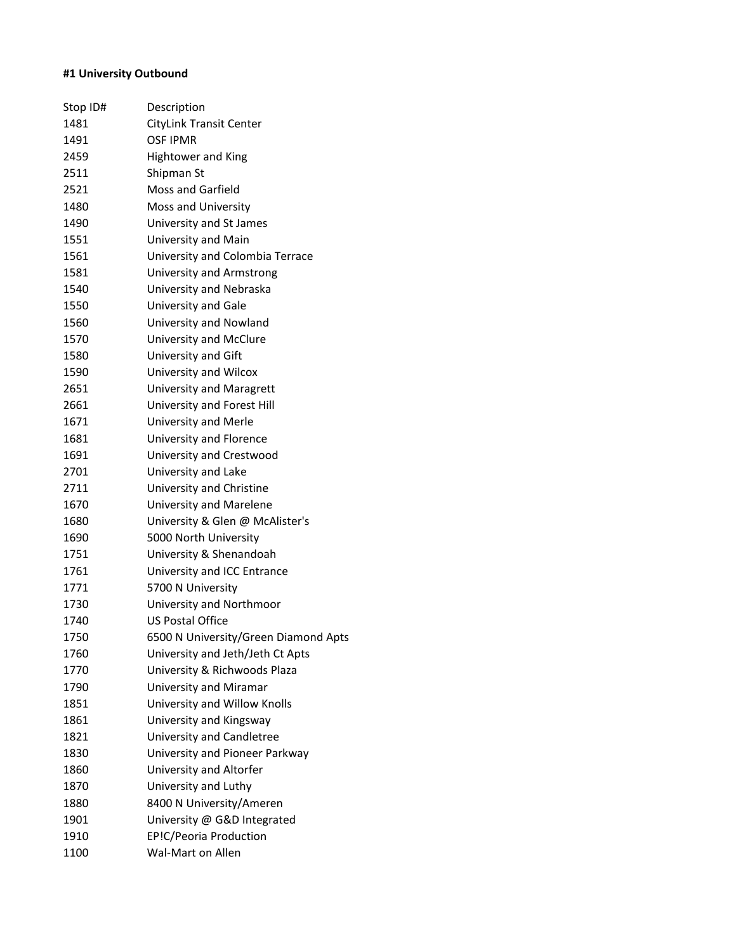# **#1 University Outbound**

| Stop ID# | Description                          |
|----------|--------------------------------------|
| 1481     | CityLink Transit Center              |
| 1491     | <b>OSF IPMR</b>                      |
| 2459     | <b>Hightower and King</b>            |
| 2511     | Shipman St                           |
| 2521     | <b>Moss and Garfield</b>             |
| 1480     | Moss and University                  |
| 1490     | University and St James              |
| 1551     | University and Main                  |
| 1561     | University and Colombia Terrace      |
| 1581     | <b>University and Armstrong</b>      |
| 1540     | University and Nebraska              |
| 1550     | University and Gale                  |
| 1560     | University and Nowland               |
| 1570     | University and McClure               |
| 1580     | University and Gift                  |
| 1590     | University and Wilcox                |
| 2651     | University and Maragrett             |
| 2661     | University and Forest Hill           |
| 1671     | University and Merle                 |
| 1681     | University and Florence              |
| 1691     | University and Crestwood             |
| 2701     | University and Lake                  |
| 2711     | University and Christine             |
| 1670     | University and Marelene              |
| 1680     | University & Glen @ McAlister's      |
| 1690     | 5000 North University                |
| 1751     | University & Shenandoah              |
| 1761     | University and ICC Entrance          |
| 1771     | 5700 N University                    |
| 1730     | University and Northmoor             |
| 1740     | <b>US Postal Office</b>              |
| 1750     | 6500 N University/Green Diamond Apts |
| 1760     | University and Jeth/Jeth Ct Apts     |
| 1770     | University & Richwoods Plaza         |
| 1790     | University and Miramar               |
| 1851     | University and Willow Knolls         |
| 1861     | University and Kingsway              |
| 1821     | University and Candletree            |
| 1830     | University and Pioneer Parkway       |
| 1860     | University and Altorfer              |
| 1870     | University and Luthy                 |
| 1880     | 8400 N University/Ameren             |
| 1901     | University @ G&D Integrated          |
| 1910     | EP!C/Peoria Production               |
| 1100     | Wal-Mart on Allen                    |
|          |                                      |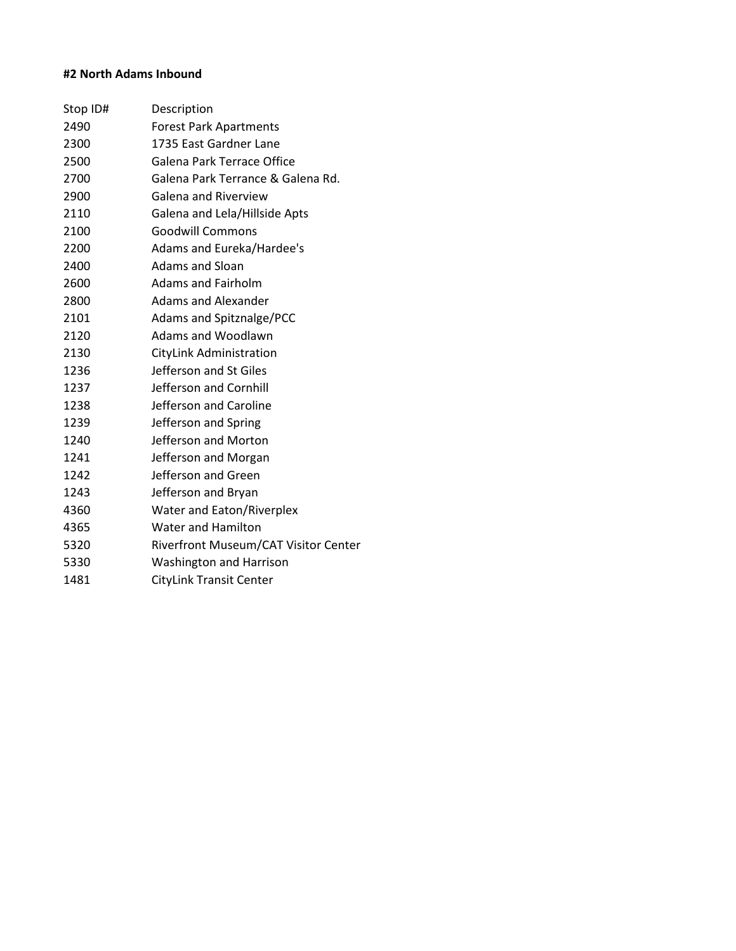# **#2 North Adams Inbound**

| Stop ID# | Description                          |
|----------|--------------------------------------|
| 2490     | <b>Forest Park Apartments</b>        |
| 2300     | 1735 East Gardner Lane               |
| 2500     | Galena Park Terrace Office           |
| 2700     | Galena Park Terrance & Galena Rd.    |
| 2900     | Galena and Riverview                 |
| 2110     | Galena and Lela/Hillside Apts        |
| 2100     | <b>Goodwill Commons</b>              |
| 2200     | Adams and Eureka/Hardee's            |
| 2400     | Adams and Sloan                      |
| 2600     | Adams and Fairholm                   |
| 2800     | <b>Adams and Alexander</b>           |
| 2101     | <b>Adams and Spitznalge/PCC</b>      |
| 2120     | <b>Adams and Woodlawn</b>            |
| 2130     | CityLink Administration              |
| 1236     | Jefferson and St Giles               |
| 1237     | Jefferson and Cornhill               |
| 1238     | Jefferson and Caroline               |
| 1239     | Jefferson and Spring                 |
| 1240     | Jefferson and Morton                 |
| 1241     | Jefferson and Morgan                 |
| 1242     | Jefferson and Green                  |
| 1243     | Jefferson and Bryan                  |
| 4360     | Water and Eaton/Riverplex            |
| 4365     | <b>Water and Hamilton</b>            |
| 5320     | Riverfront Museum/CAT Visitor Center |
| 5330     | <b>Washington and Harrison</b>       |
| 1481     | <b>CityLink Transit Center</b>       |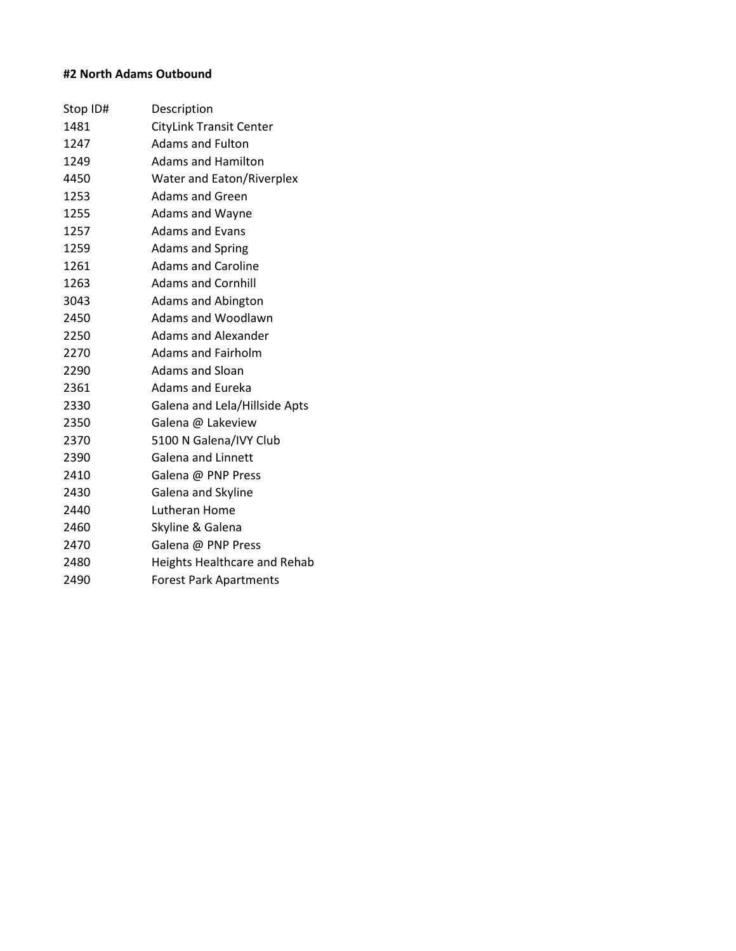# **#2 North Adams Outbound**

| Stop ID# | Description                         |
|----------|-------------------------------------|
| 1481     | <b>CityLink Transit Center</b>      |
| 1247     | <b>Adams and Fulton</b>             |
| 1249     | Adams and Hamilton                  |
| 4450     | Water and Eaton/Riverplex           |
| 1253     | Adams and Green                     |
| 1255     | Adams and Wayne                     |
| 1257     | <b>Adams and Evans</b>              |
| 1259     | <b>Adams and Spring</b>             |
| 1261     | <b>Adams and Caroline</b>           |
| 1263     | <b>Adams and Cornhill</b>           |
| 3043     | <b>Adams and Abington</b>           |
| 2450     | Adams and Woodlawn                  |
| 2250     | Adams and Alexander                 |
| 2270     | <b>Adams and Fairholm</b>           |
| 2290     | <b>Adams and Sloan</b>              |
| 2361     | <b>Adams and Eureka</b>             |
| 2330     | Galena and Lela/Hillside Apts       |
| 2350     | Galena @ Lakeview                   |
| 2370     | 5100 N Galena/IVY Club              |
| 2390     | <b>Galena and Linnett</b>           |
| 2410     | Galena @ PNP Press                  |
| 2430     | Galena and Skyline                  |
| 2440     | Lutheran Home                       |
| 2460     | Skyline & Galena                    |
| 2470     | Galena @ PNP Press                  |
| 2480     | <b>Heights Healthcare and Rehab</b> |
| 2490     | <b>Forest Park Apartments</b>       |
|          |                                     |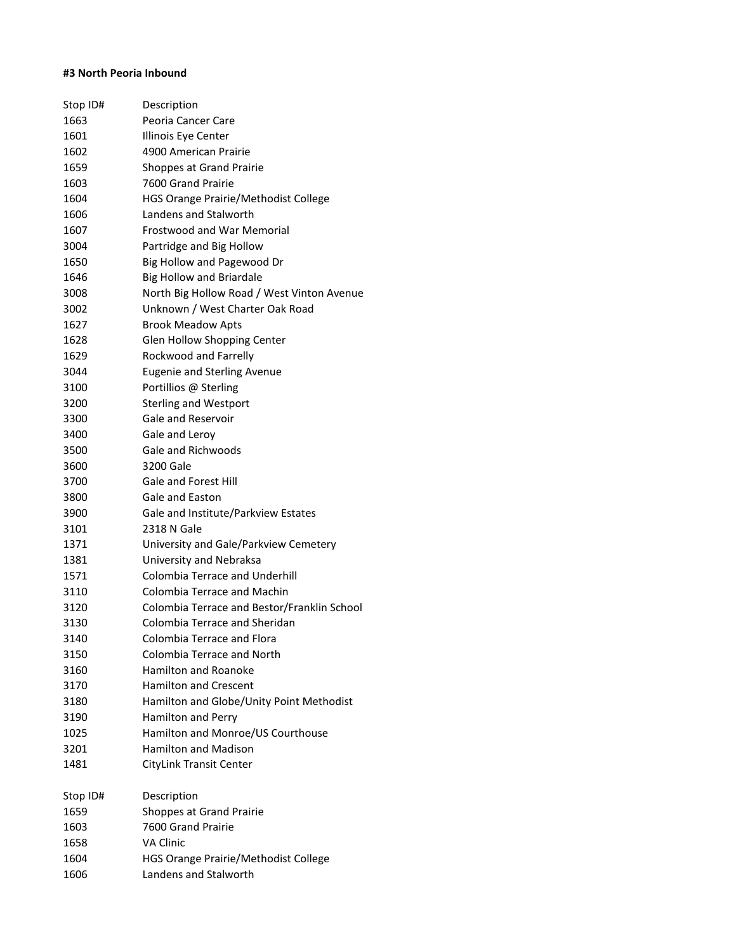#### **#3 North Peoria Inbound**

| Stop ID# | Description                                 |
|----------|---------------------------------------------|
| 1663     | Peoria Cancer Care                          |
| 1601     | Illinois Eye Center                         |
| 1602     | 4900 American Prairie                       |
| 1659     | Shoppes at Grand Prairie                    |
| 1603     | 7600 Grand Prairie                          |
| 1604     | <b>HGS Orange Prairie/Methodist College</b> |
| 1606     | Landens and Stalworth                       |
| 1607     | <b>Frostwood and War Memorial</b>           |
| 3004     | Partridge and Big Hollow                    |
| 1650     | Big Hollow and Pagewood Dr                  |
| 1646     | <b>Big Hollow and Briardale</b>             |
| 3008     | North Big Hollow Road / West Vinton Avenue  |
| 3002     | Unknown / West Charter Oak Road             |
| 1627     | <b>Brook Meadow Apts</b>                    |
| 1628     | Glen Hollow Shopping Center                 |
| 1629     | Rockwood and Farrelly                       |
| 3044     | <b>Eugenie and Sterling Avenue</b>          |
| 3100     | Portillios @ Sterling                       |
| 3200     | <b>Sterling and Westport</b>                |
| 3300     | <b>Gale and Reservoir</b>                   |
| 3400     | Gale and Leroy                              |
| 3500     | Gale and Richwoods                          |
| 3600     | 3200 Gale                                   |
| 3700     | <b>Gale and Forest Hill</b>                 |
| 3800     | Gale and Easton                             |
| 3900     | Gale and Institute/Parkview Estates         |
| 3101     | 2318 N Gale                                 |
| 1371     | University and Gale/Parkview Cemetery       |
| 1381     | University and Nebraksa                     |
| 1571     | Colombia Terrace and Underhill              |
| 3110     | Colombia Terrace and Machin                 |
| 3120     | Colombia Terrace and Bestor/Franklin School |
| 3130     | Colombia Terrace and Sheridan               |
| 3140     | Colombia Terrace and Flora                  |
| 3150     | Colombia Terrace and North                  |
| 3160     | <b>Hamilton and Roanoke</b>                 |
| 3170     | <b>Hamilton and Crescent</b>                |
| 3180     | Hamilton and Globe/Unity Point Methodist    |
| 3190     | Hamilton and Perry                          |
| 1025     | Hamilton and Monroe/US Courthouse           |
| 3201     | <b>Hamilton and Madison</b>                 |
| 1481     | <b>CityLink Transit Center</b>              |
|          |                                             |
| Stop ID# | Description                                 |
| 1659     | Shoppes at Grand Prairie                    |
| 1603     | 7600 Grand Prairie                          |
| 1658     | <b>VA Clinic</b>                            |
| 1604     | HGS Orange Prairie/Methodist College        |
| 1606     | Landens and Stalworth                       |
|          |                                             |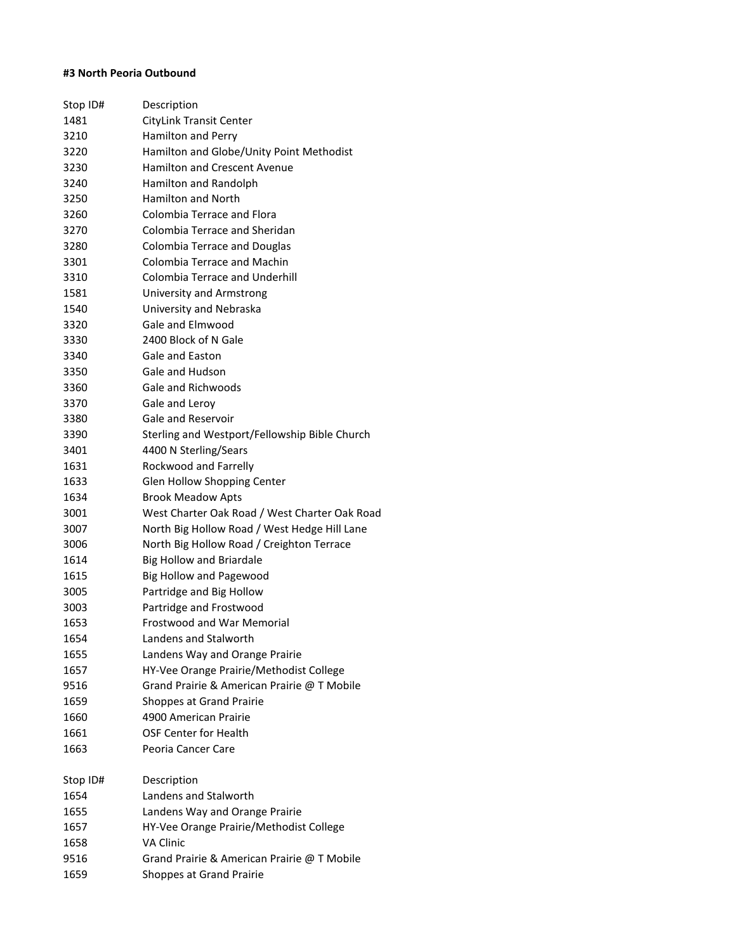#### **#3 North Peoria Outbound**

| Stop ID# | Description                                   |
|----------|-----------------------------------------------|
| 1481     | CityLink Transit Center                       |
| 3210     | Hamilton and Perry                            |
| 3220     | Hamilton and Globe/Unity Point Methodist      |
| 3230     | <b>Hamilton and Crescent Avenue</b>           |
| 3240     | Hamilton and Randolph                         |
| 3250     | <b>Hamilton and North</b>                     |
| 3260     | Colombia Terrace and Flora                    |
| 3270     | Colombia Terrace and Sheridan                 |
| 3280     | Colombia Terrace and Douglas                  |
| 3301     | Colombia Terrace and Machin                   |
| 3310     | Colombia Terrace and Underhill                |
| 1581     | University and Armstrong                      |
| 1540     | University and Nebraska                       |
| 3320     | Gale and Elmwood                              |
| 3330     | 2400 Block of N Gale                          |
| 3340     | Gale and Easton                               |
| 3350     | Gale and Hudson                               |
| 3360     | Gale and Richwoods                            |
| 3370     | Gale and Leroy                                |
| 3380     | Gale and Reservoir                            |
| 3390     | Sterling and Westport/Fellowship Bible Church |
| 3401     | 4400 N Sterling/Sears                         |
| 1631     | Rockwood and Farrelly                         |
| 1633     | Glen Hollow Shopping Center                   |
| 1634     | <b>Brook Meadow Apts</b>                      |
| 3001     | West Charter Oak Road / West Charter Oak Road |
| 3007     | North Big Hollow Road / West Hedge Hill Lane  |
| 3006     | North Big Hollow Road / Creighton Terrace     |
| 1614     | <b>Big Hollow and Briardale</b>               |
| 1615     | Big Hollow and Pagewood                       |
| 3005     | Partridge and Big Hollow                      |
| 3003     | Partridge and Frostwood                       |
| 1653     | Frostwood and War Memorial                    |
| 1654     | Landens and Stalworth                         |
| 1655     | Landens Way and Orange Prairie                |
| 1657     | HY-Vee Orange Prairie/Methodist College       |
| 9516     | Grand Prairie & American Prairie @ T Mobile   |
| 1659     | Shoppes at Grand Prairie                      |
| 1660     | 4900 American Prairie                         |
| 1661     | <b>OSF Center for Health</b>                  |
| 1663     | Peoria Cancer Care                            |
| Stop ID# | Description                                   |
| 1654     | Landens and Stalworth                         |
| 1655     | Landens Way and Orange Prairie                |
| 1657     | HY-Vee Orange Prairie/Methodist College       |
| 1658     | VA Clinic                                     |
| 9516     | Grand Prairie & American Prairie @ T Mobile   |
| 1659     | Shoppes at Grand Prairie                      |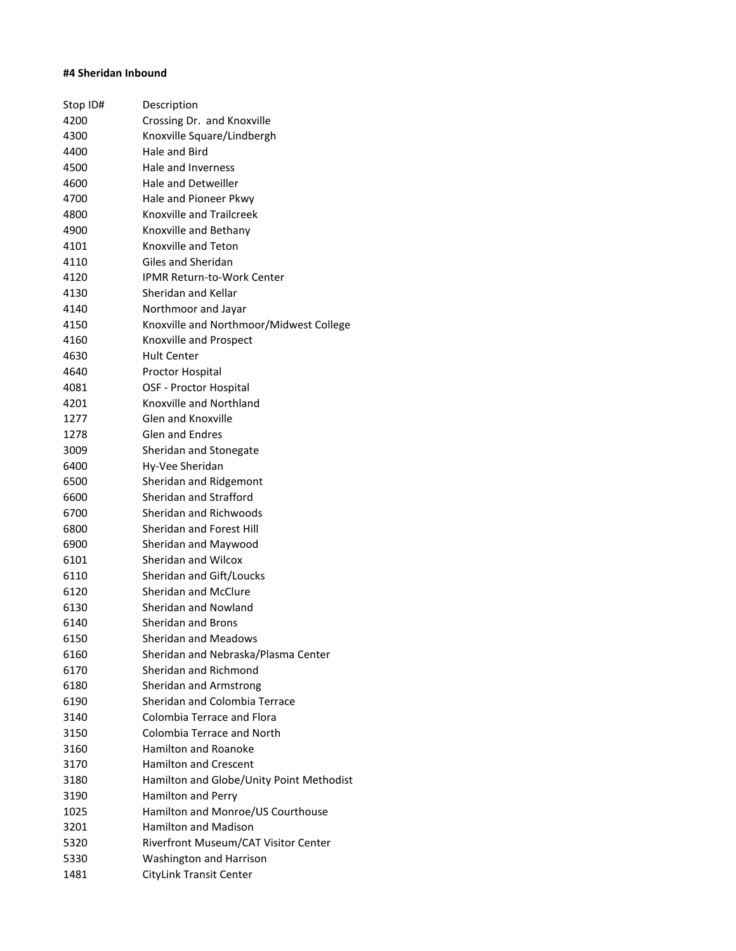#### **#4 Sheridan Inbound**

| Stop ID# | Description                              |
|----------|------------------------------------------|
| 4200     | Crossing Dr. and Knoxville               |
| 4300     | Knoxville Square/Lindbergh               |
| 4400     | Hale and Bird                            |
| 4500     | Hale and Inverness                       |
| 4600     | Hale and Detweiller                      |
| 4700     | Hale and Pioneer Pkwy                    |
| 4800     | Knoxville and Trailcreek                 |
| 4900     | Knoxville and Bethany                    |
| 4101     | Knoxville and Teton                      |
| 4110     | Giles and Sheridan                       |
| 4120     | <b>IPMR Return-to-Work Center</b>        |
| 4130     | Sheridan and Kellar                      |
| 4140     | Northmoor and Jayar                      |
| 4150     | Knoxville and Northmoor/Midwest College  |
| 4160     | Knoxville and Prospect                   |
| 4630     | <b>Hult Center</b>                       |
| 4640     | Proctor Hospital                         |
| 4081     | OSF - Proctor Hospital                   |
| 4201     | Knoxville and Northland                  |
| 1277     | <b>Glen and Knoxville</b>                |
| 1278     | <b>Glen and Endres</b>                   |
| 3009     | Sheridan and Stonegate                   |
| 6400     | Hy-Vee Sheridan                          |
| 6500     | Sheridan and Ridgemont                   |
| 6600     | Sheridan and Strafford                   |
| 6700     | Sheridan and Richwoods                   |
| 6800     | Sheridan and Forest Hill                 |
| 6900     | Sheridan and Maywood                     |
| 6101     | Sheridan and Wilcox                      |
| 6110     | Sheridan and Gift/Loucks                 |
| 6120     | Sheridan and McClure                     |
| 6130     | Sheridan and Nowland                     |
| 6140     | <b>Sheridan and Brons</b>                |
| 6150     | Sheridan and Meadows                     |
| 6160     | Sheridan and Nebraska/Plasma Center      |
| 6170     | Sheridan and Richmond                    |
| 6180     | Sheridan and Armstrong                   |
| 6190     | Sheridan and Colombia Terrace            |
| 3140     | Colombia Terrace and Flora               |
| 3150     | Colombia Terrace and North               |
| 3160     | <b>Hamilton and Roanoke</b>              |
| 3170     | <b>Hamilton and Crescent</b>             |
| 3180     | Hamilton and Globe/Unity Point Methodist |
| 3190     | Hamilton and Perry                       |
| 1025     | Hamilton and Monroe/US Courthouse        |
| 3201     | <b>Hamilton and Madison</b>              |
| 5320     | Riverfront Museum/CAT Visitor Center     |
| 5330     | Washington and Harrison                  |
| 1481     | CityLink Transit Center                  |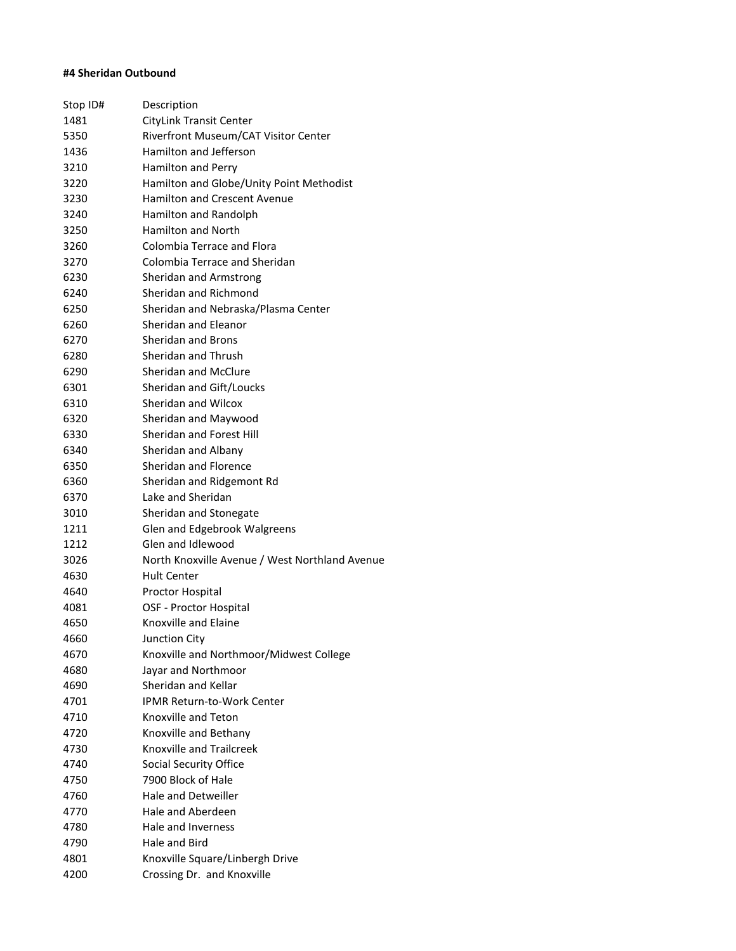#### **#4 Sheridan Outbound**

| Stop ID# | Description                                    |
|----------|------------------------------------------------|
| 1481     | <b>CityLink Transit Center</b>                 |
| 5350     | Riverfront Museum/CAT Visitor Center           |
| 1436     | Hamilton and Jefferson                         |
| 3210     | Hamilton and Perry                             |
| 3220     | Hamilton and Globe/Unity Point Methodist       |
| 3230     | <b>Hamilton and Crescent Avenue</b>            |
| 3240     | Hamilton and Randolph                          |
| 3250     | Hamilton and North                             |
| 3260     | Colombia Terrace and Flora                     |
| 3270     | Colombia Terrace and Sheridan                  |
| 6230     | Sheridan and Armstrong                         |
| 6240     | Sheridan and Richmond                          |
| 6250     | Sheridan and Nebraska/Plasma Center            |
| 6260     | Sheridan and Eleanor                           |
| 6270     | <b>Sheridan and Brons</b>                      |
| 6280     | Sheridan and Thrush                            |
| 6290     | Sheridan and McClure                           |
| 6301     | Sheridan and Gift/Loucks                       |
| 6310     | Sheridan and Wilcox                            |
| 6320     | Sheridan and Maywood                           |
| 6330     | Sheridan and Forest Hill                       |
| 6340     | Sheridan and Albany                            |
| 6350     | Sheridan and Florence                          |
| 6360     | Sheridan and Ridgemont Rd                      |
| 6370     | Lake and Sheridan                              |
| 3010     | Sheridan and Stonegate                         |
| 1211     | Glen and Edgebrook Walgreens                   |
| 1212     | Glen and Idlewood                              |
| 3026     | North Knoxville Avenue / West Northland Avenue |
| 4630     | <b>Hult Center</b>                             |
| 4640     | Proctor Hospital                               |
| 4081     | OSF - Proctor Hospital                         |
| 4650     | Knoxville and Elaine                           |
| 4660     | Junction City                                  |
| 4670     | Knoxville and Northmoor/Midwest College        |
| 4680     | Jayar and Northmoor                            |
| 4690     | Sheridan and Kellar                            |
| 4701     | <b>IPMR Return-to-Work Center</b>              |
| 4710     | Knoxville and Teton                            |
| 4720     | Knoxville and Bethany                          |
| 4730     | Knoxville and Trailcreek                       |
| 4740     | Social Security Office                         |
| 4750     | 7900 Block of Hale                             |
| 4760     | Hale and Detweiller                            |
| 4770     | Hale and Aberdeen                              |
| 4780     | Hale and Inverness                             |
| 4790     | Hale and Bird                                  |
| 4801     | Knoxville Square/Linbergh Drive                |
| 4200     | Crossing Dr. and Knoxville                     |
|          |                                                |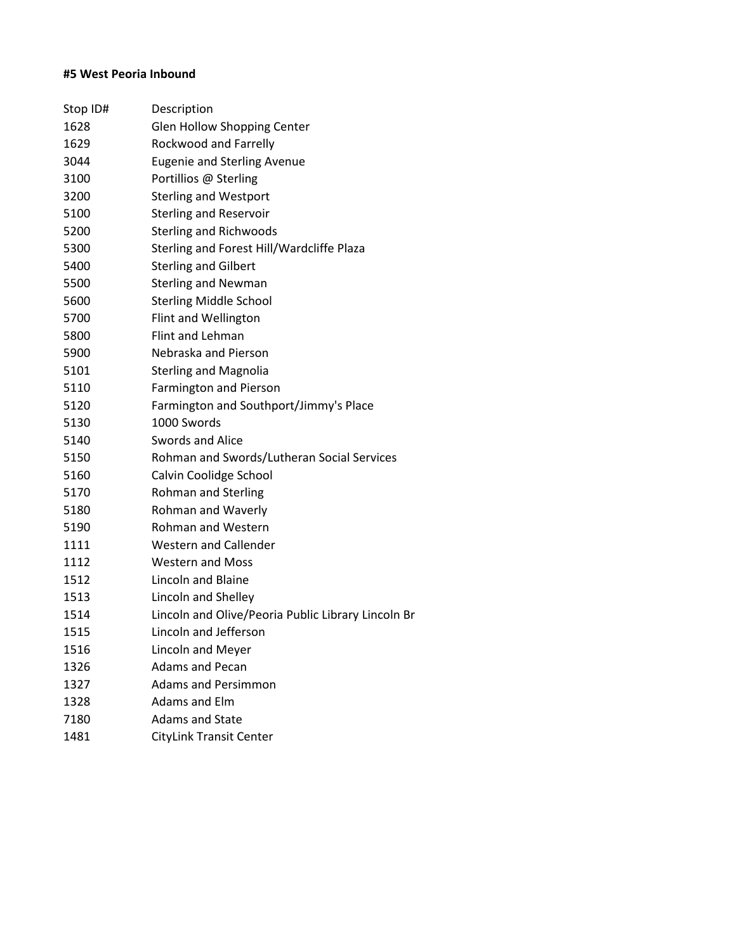# **#5 West Peoria Inbound**

| Stop ID# | Description                                        |
|----------|----------------------------------------------------|
| 1628     | Glen Hollow Shopping Center                        |
| 1629     | Rockwood and Farrelly                              |
| 3044     | <b>Eugenie and Sterling Avenue</b>                 |
| 3100     | Portillios @ Sterling                              |
| 3200     | <b>Sterling and Westport</b>                       |
| 5100     | <b>Sterling and Reservoir</b>                      |
| 5200     | <b>Sterling and Richwoods</b>                      |
| 5300     | Sterling and Forest Hill/Wardcliffe Plaza          |
| 5400     | <b>Sterling and Gilbert</b>                        |
| 5500     | <b>Sterling and Newman</b>                         |
| 5600     | <b>Sterling Middle School</b>                      |
| 5700     | Flint and Wellington                               |
| 5800     | Flint and Lehman                                   |
| 5900     | Nebraska and Pierson                               |
| 5101     | <b>Sterling and Magnolia</b>                       |
| 5110     | <b>Farmington and Pierson</b>                      |
| 5120     | Farmington and Southport/Jimmy's Place             |
| 5130     | 1000 Swords                                        |
| 5140     | Swords and Alice                                   |
| 5150     | Rohman and Swords/Lutheran Social Services         |
| 5160     | Calvin Coolidge School                             |
| 5170     | <b>Rohman and Sterling</b>                         |
| 5180     | Rohman and Waverly                                 |
| 5190     | <b>Rohman and Western</b>                          |
| 1111     | <b>Western and Callender</b>                       |
| 1112     | <b>Western and Moss</b>                            |
| 1512     | Lincoln and Blaine                                 |
| 1513     | Lincoln and Shelley                                |
| 1514     | Lincoln and Olive/Peoria Public Library Lincoln Br |
| 1515     | Lincoln and Jefferson                              |
| 1516     | Lincoln and Meyer                                  |
| 1326     | <b>Adams and Pecan</b>                             |
| 1327     | <b>Adams and Persimmon</b>                         |
| 1328     | Adams and Elm                                      |
| 7180     | <b>Adams and State</b>                             |
| 1481     | <b>CityLink Transit Center</b>                     |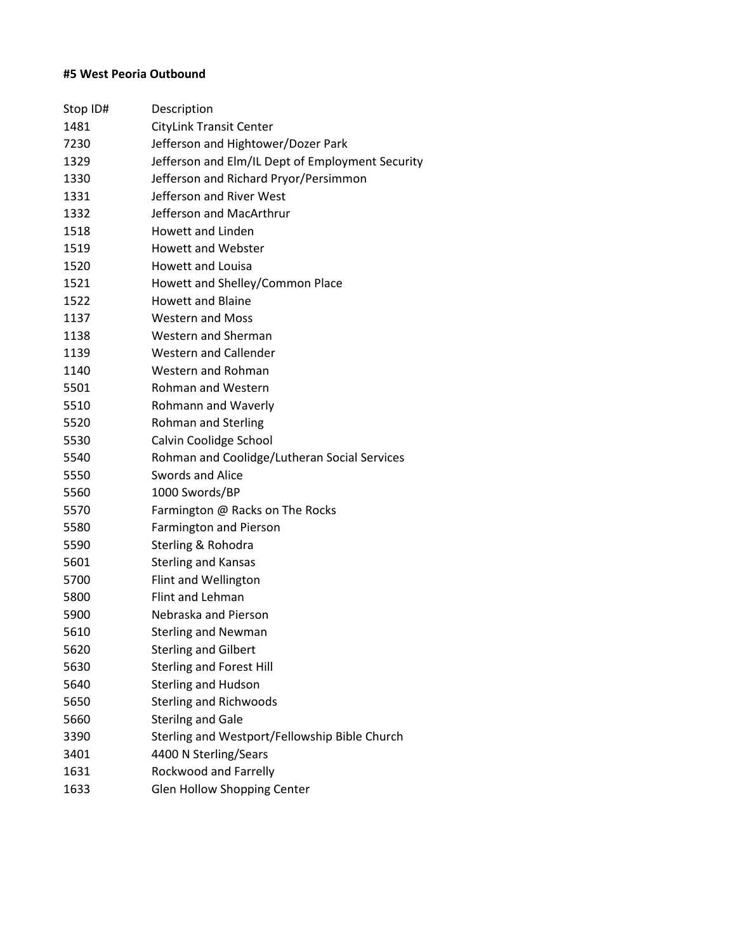# **#5 West Peoria Outbound**

| Stop ID# | Description                                      |
|----------|--------------------------------------------------|
| 1481     | <b>CityLink Transit Center</b>                   |
| 7230     | Jefferson and Hightower/Dozer Park               |
| 1329     | Jefferson and Elm/IL Dept of Employment Security |
| 1330     | Jefferson and Richard Pryor/Persimmon            |
| 1331     | Jefferson and River West                         |
| 1332     | Jefferson and MacArthrur                         |
| 1518     | <b>Howett and Linden</b>                         |
| 1519     | <b>Howett and Webster</b>                        |
| 1520     | <b>Howett and Louisa</b>                         |
| 1521     | Howett and Shelley/Common Place                  |
| 1522     | <b>Howett and Blaine</b>                         |
| 1137     | <b>Western and Moss</b>                          |
| 1138     | Western and Sherman                              |
| 1139     | <b>Western and Callender</b>                     |
| 1140     | Western and Rohman                               |
| 5501     | <b>Rohman and Western</b>                        |
| 5510     | Rohmann and Waverly                              |
| 5520     | <b>Rohman and Sterling</b>                       |
| 5530     | Calvin Coolidge School                           |
| 5540     | Rohman and Coolidge/Lutheran Social Services     |
| 5550     | Swords and Alice                                 |
| 5560     | 1000 Swords/BP                                   |
| 5570     | Farmington @ Racks on The Rocks                  |
| 5580     | <b>Farmington and Pierson</b>                    |
| 5590     | Sterling & Rohodra                               |
| 5601     | <b>Sterling and Kansas</b>                       |
| 5700     | Flint and Wellington                             |
| 5800     | <b>Flint and Lehman</b>                          |
| 5900     | Nebraska and Pierson                             |
| 5610     | <b>Sterling and Newman</b>                       |
| 5620     | <b>Sterling and Gilbert</b>                      |
| 5630     | <b>Sterling and Forest Hill</b>                  |
| 5640     | <b>Sterling and Hudson</b>                       |
| 5650     | <b>Sterling and Richwoods</b>                    |
| 5660     | <b>Sterilng and Gale</b>                         |
| 3390     | Sterling and Westport/Fellowship Bible Church    |
| 3401     | 4400 N Sterling/Sears                            |
| 1631     | Rockwood and Farrelly                            |
| 1633     | <b>Glen Hollow Shopping Center</b>               |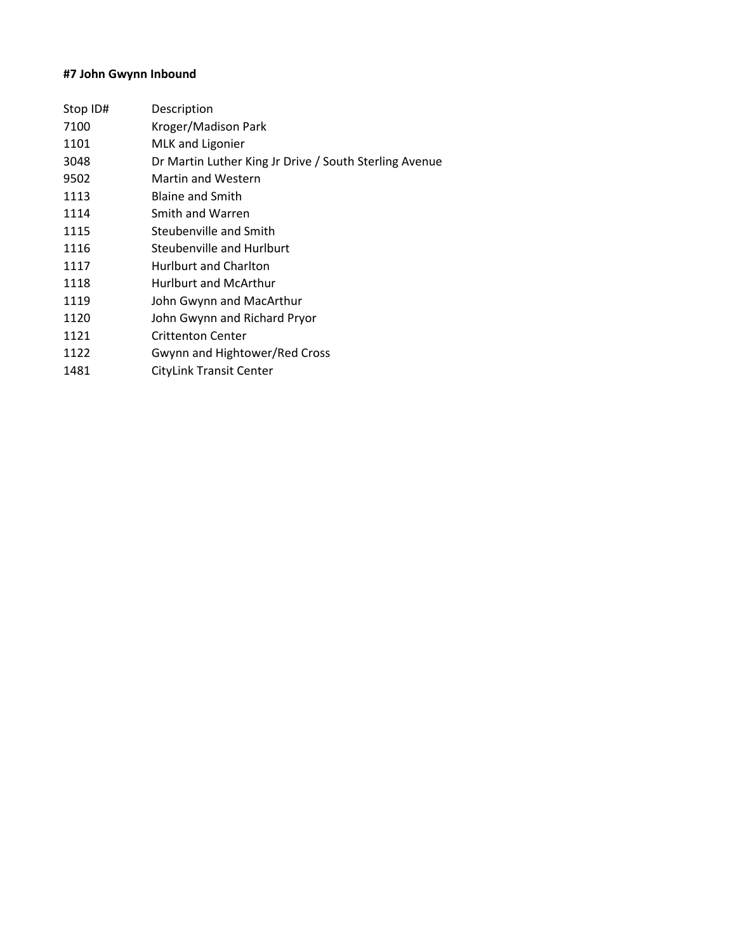# **#7 John Gwynn Inbound**

| Description                                            |
|--------------------------------------------------------|
| Kroger/Madison Park                                    |
| MLK and Ligonier                                       |
| Dr Martin Luther King Jr Drive / South Sterling Avenue |
| <b>Martin and Western</b>                              |
| <b>Blaine and Smith</b>                                |
| Smith and Warren                                       |
| Steubenville and Smith                                 |
| Steubenville and Hurlburt                              |
| Hurlburt and Charlton                                  |
| <b>Hurlburt and McArthur</b>                           |
| John Gwynn and MacArthur                               |
| John Gwynn and Richard Pryor                           |
| <b>Crittenton Center</b>                               |
| Gwynn and Hightower/Red Cross                          |
| <b>CityLink Transit Center</b>                         |
|                                                        |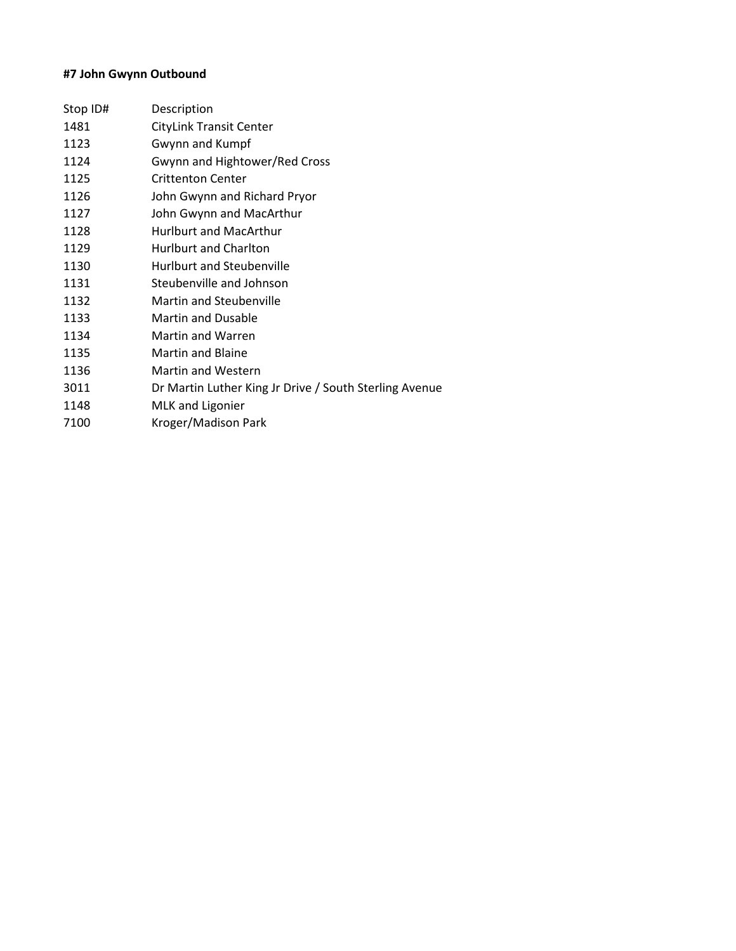# **#7 John Gwynn Outbound**

| Description                                            |
|--------------------------------------------------------|
| <b>CityLink Transit Center</b>                         |
| Gwynn and Kumpf                                        |
| Gwynn and Hightower/Red Cross                          |
| <b>Crittenton Center</b>                               |
| John Gwynn and Richard Pryor                           |
| John Gwynn and MacArthur                               |
| <b>Hurlburt and MacArthur</b>                          |
| <b>Hurlburt and Charlton</b>                           |
| Hurlburt and Steubenville                              |
| Steubenville and Johnson                               |
| <b>Martin and Steubenville</b>                         |
| <b>Martin and Dusable</b>                              |
| Martin and Warren                                      |
| <b>Martin and Blaine</b>                               |
| <b>Martin and Western</b>                              |
| Dr Martin Luther King Jr Drive / South Sterling Avenue |
| <b>MLK and Ligonier</b>                                |
| Kroger/Madison Park                                    |
|                                                        |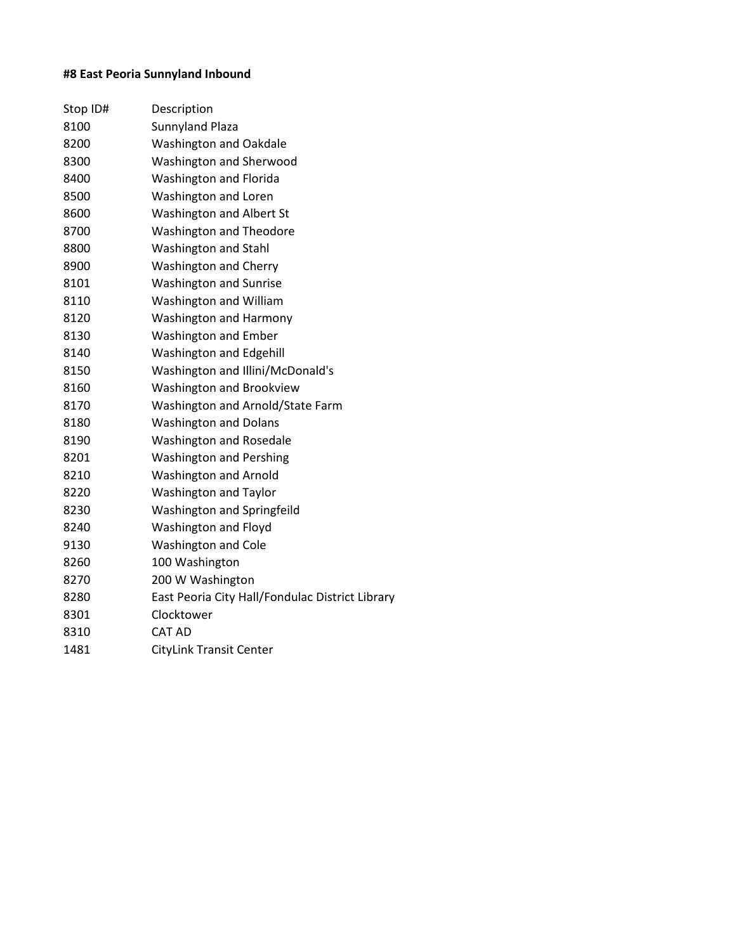# **#8 East Peoria Sunnyland Inbound**

| Stop ID# | Description                                     |
|----------|-------------------------------------------------|
| 8100     | Sunnyland Plaza                                 |
| 8200     | <b>Washington and Oakdale</b>                   |
| 8300     | Washington and Sherwood                         |
| 8400     | <b>Washington and Florida</b>                   |
| 8500     | Washington and Loren                            |
| 8600     | <b>Washington and Albert St</b>                 |
| 8700     | <b>Washington and Theodore</b>                  |
| 8800     | Washington and Stahl                            |
| 8900     | <b>Washington and Cherry</b>                    |
| 8101     | <b>Washington and Sunrise</b>                   |
| 8110     | Washington and William                          |
| 8120     | <b>Washington and Harmony</b>                   |
| 8130     | <b>Washington and Ember</b>                     |
| 8140     | <b>Washington and Edgehill</b>                  |
| 8150     | Washington and Illini/McDonald's                |
| 8160     | <b>Washington and Brookview</b>                 |
| 8170     | Washington and Arnold/State Farm                |
| 8180     | <b>Washington and Dolans</b>                    |
| 8190     | <b>Washington and Rosedale</b>                  |
| 8201     | <b>Washington and Pershing</b>                  |
| 8210     | <b>Washington and Arnold</b>                    |
| 8220     | <b>Washington and Taylor</b>                    |
| 8230     | Washington and Springfeild                      |
| 8240     | Washington and Floyd                            |
| 9130     | <b>Washington and Cole</b>                      |
| 8260     | 100 Washington                                  |
| 8270     | 200 W Washington                                |
| 8280     | East Peoria City Hall/Fondulac District Library |
| 8301     | Clocktower                                      |
| 8310     | <b>CAT AD</b>                                   |
| 1481     | <b>CityLink Transit Center</b>                  |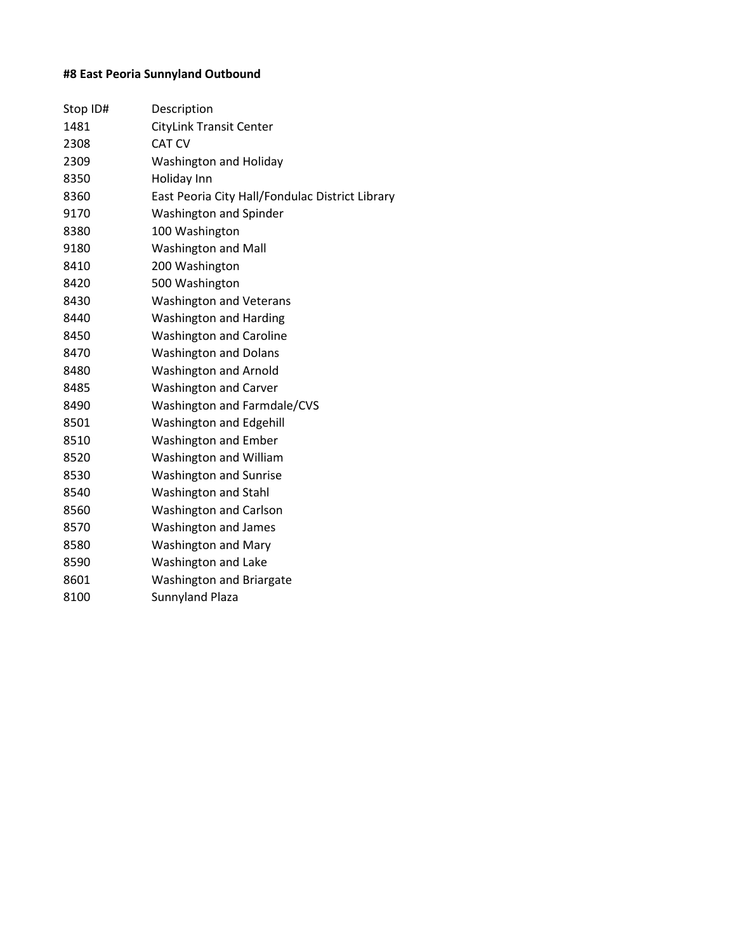# **#8 East Peoria Sunnyland Outbound**

| Stop ID# | Description                                     |
|----------|-------------------------------------------------|
| 1481     | <b>CityLink Transit Center</b>                  |
| 2308     | <b>CAT CV</b>                                   |
| 2309     | Washington and Holiday                          |
| 8350     | Holiday Inn                                     |
| 8360     | East Peoria City Hall/Fondulac District Library |
| 9170     | <b>Washington and Spinder</b>                   |
| 8380     | 100 Washington                                  |
| 9180     | <b>Washington and Mall</b>                      |
| 8410     | 200 Washington                                  |
| 8420     | 500 Washington                                  |
| 8430     | <b>Washington and Veterans</b>                  |
| 8440     | <b>Washington and Harding</b>                   |
| 8450     | <b>Washington and Caroline</b>                  |
| 8470     | <b>Washington and Dolans</b>                    |
| 8480     | <b>Washington and Arnold</b>                    |
| 8485     | <b>Washington and Carver</b>                    |
| 8490     | <b>Washington and Farmdale/CVS</b>              |
| 8501     | <b>Washington and Edgehill</b>                  |
| 8510     | <b>Washington and Ember</b>                     |
| 8520     | Washington and William                          |
| 8530     | <b>Washington and Sunrise</b>                   |
| 8540     | Washington and Stahl                            |
| 8560     | <b>Washington and Carlson</b>                   |
| 8570     | Washington and James                            |
| 8580     | <b>Washington and Mary</b>                      |
| 8590     | Washington and Lake                             |
| 8601     | <b>Washington and Briargate</b>                 |
| 8100     | Sunnyland Plaza                                 |
|          |                                                 |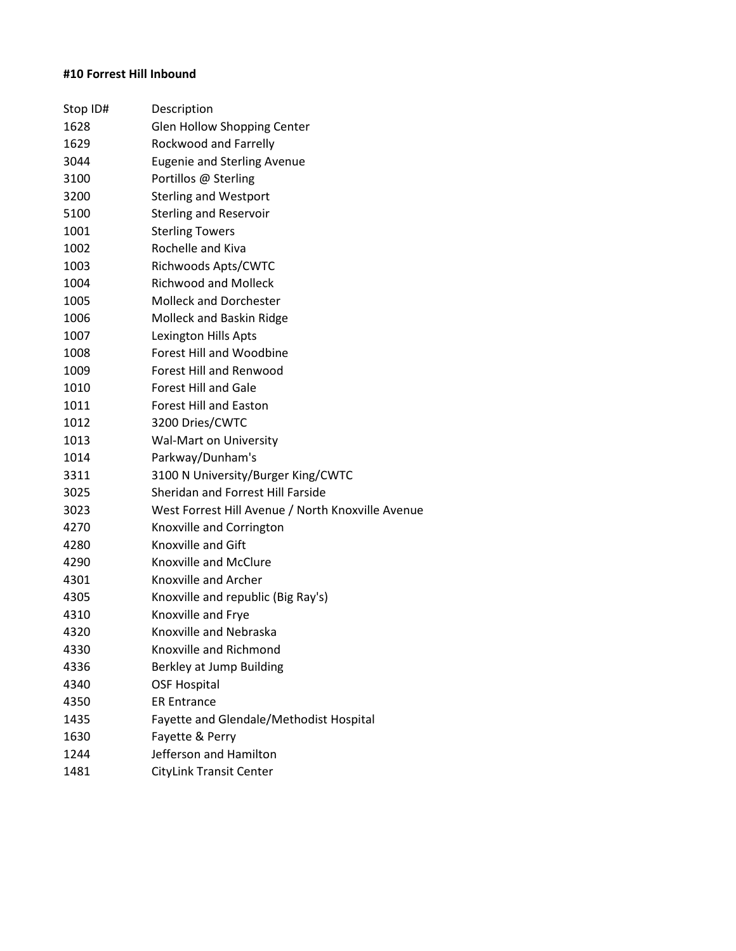# **#10 Forrest Hill Inbound**

| Stop ID# | Description                                       |
|----------|---------------------------------------------------|
| 1628     | Glen Hollow Shopping Center                       |
| 1629     | Rockwood and Farrelly                             |
| 3044     | <b>Eugenie and Sterling Avenue</b>                |
| 3100     | Portillos @ Sterling                              |
| 3200     | <b>Sterling and Westport</b>                      |
| 5100     | <b>Sterling and Reservoir</b>                     |
| 1001     | <b>Sterling Towers</b>                            |
| 1002     | Rochelle and Kiva                                 |
| 1003     | Richwoods Apts/CWTC                               |
| 1004     | <b>Richwood and Molleck</b>                       |
| 1005     | <b>Molleck and Dorchester</b>                     |
| 1006     | Molleck and Baskin Ridge                          |
| 1007     | Lexington Hills Apts                              |
| 1008     | <b>Forest Hill and Woodbine</b>                   |
| 1009     | <b>Forest Hill and Renwood</b>                    |
| 1010     | <b>Forest Hill and Gale</b>                       |
| 1011     | <b>Forest Hill and Easton</b>                     |
| 1012     | 3200 Dries/CWTC                                   |
| 1013     | Wal-Mart on University                            |
| 1014     | Parkway/Dunham's                                  |
| 3311     | 3100 N University/Burger King/CWTC                |
| 3025     | Sheridan and Forrest Hill Farside                 |
| 3023     | West Forrest Hill Avenue / North Knoxville Avenue |
| 4270     | Knoxville and Corrington                          |
| 4280     | <b>Knoxville and Gift</b>                         |
| 4290     | Knoxville and McClure                             |
| 4301     | Knoxville and Archer                              |
| 4305     | Knoxville and republic (Big Ray's)                |
| 4310     | Knoxville and Frye                                |
| 4320     | Knoxville and Nebraska                            |
| 4330     | Knoxville and Richmond                            |
| 4336     | Berkley at Jump Building                          |
| 4340     | <b>OSF Hospital</b>                               |
| 4350     | <b>ER Entrance</b>                                |
| 1435     | Fayette and Glendale/Methodist Hospital           |
| 1630     | Fayette & Perry                                   |
| 1244     | Jefferson and Hamilton                            |
| 1481     | <b>CityLink Transit Center</b>                    |
|          |                                                   |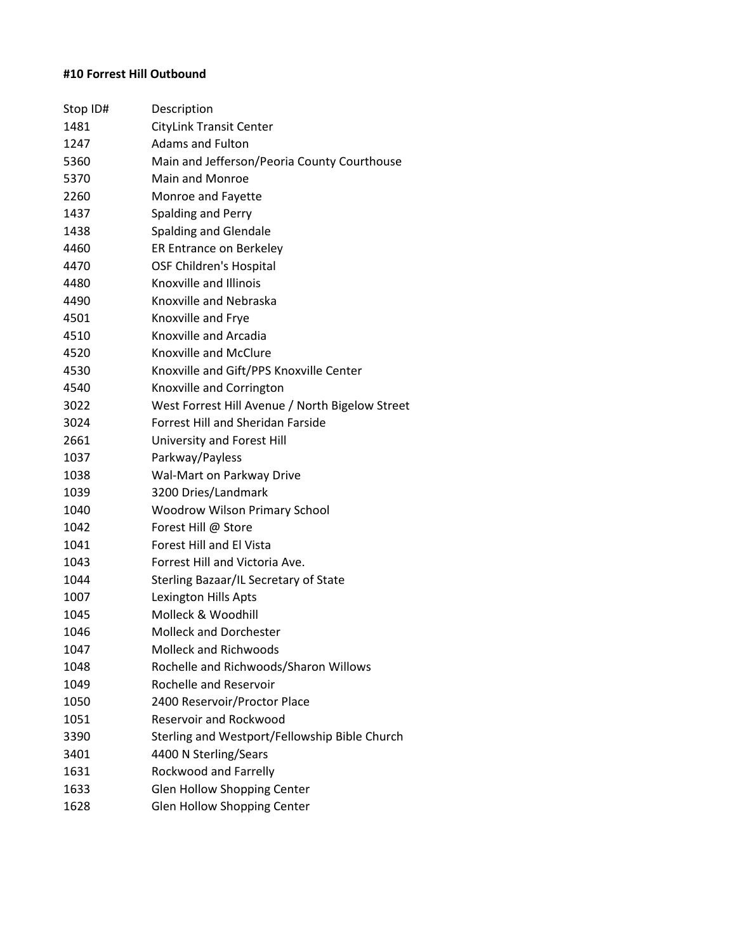# **#10 Forrest Hill Outbound**

| Stop ID# | Description                                     |
|----------|-------------------------------------------------|
| 1481     | <b>CityLink Transit Center</b>                  |
| 1247     | <b>Adams and Fulton</b>                         |
| 5360     | Main and Jefferson/Peoria County Courthouse     |
| 5370     | Main and Monroe                                 |
| 2260     | Monroe and Fayette                              |
| 1437     | Spalding and Perry                              |
| 1438     | Spalding and Glendale                           |
| 4460     | ER Entrance on Berkeley                         |
| 4470     | <b>OSF Children's Hospital</b>                  |
| 4480     | Knoxville and Illinois                          |
| 4490     | Knoxville and Nebraska                          |
| 4501     | Knoxville and Frye                              |
| 4510     | Knoxville and Arcadia                           |
| 4520     | Knoxville and McClure                           |
| 4530     | Knoxville and Gift/PPS Knoxville Center         |
| 4540     | Knoxville and Corrington                        |
| 3022     | West Forrest Hill Avenue / North Bigelow Street |
| 3024     | <b>Forrest Hill and Sheridan Farside</b>        |
| 2661     | University and Forest Hill                      |
| 1037     | Parkway/Payless                                 |
| 1038     | Wal-Mart on Parkway Drive                       |
| 1039     | 3200 Dries/Landmark                             |
| 1040     | <b>Woodrow Wilson Primary School</b>            |
| 1042     | Forest Hill @ Store                             |
| 1041     | <b>Forest Hill and El Vista</b>                 |
| 1043     | Forrest Hill and Victoria Ave.                  |
| 1044     | Sterling Bazaar/IL Secretary of State           |
| 1007     | Lexington Hills Apts                            |
| 1045     | Molleck & Woodhill                              |
| 1046     | <b>Molleck and Dorchester</b>                   |
| 1047     | <b>Molleck and Richwoods</b>                    |
| 1048     | Rochelle and Richwoods/Sharon Willows           |
| 1049     | Rochelle and Reservoir                          |
| 1050     | 2400 Reservoir/Proctor Place                    |
| 1051     | <b>Reservoir and Rockwood</b>                   |
| 3390     | Sterling and Westport/Fellowship Bible Church   |
| 3401     | 4400 N Sterling/Sears                           |
| 1631     | Rockwood and Farrelly                           |
| 1633     | <b>Glen Hollow Shopping Center</b>              |
| 1628     | <b>Glen Hollow Shopping Center</b>              |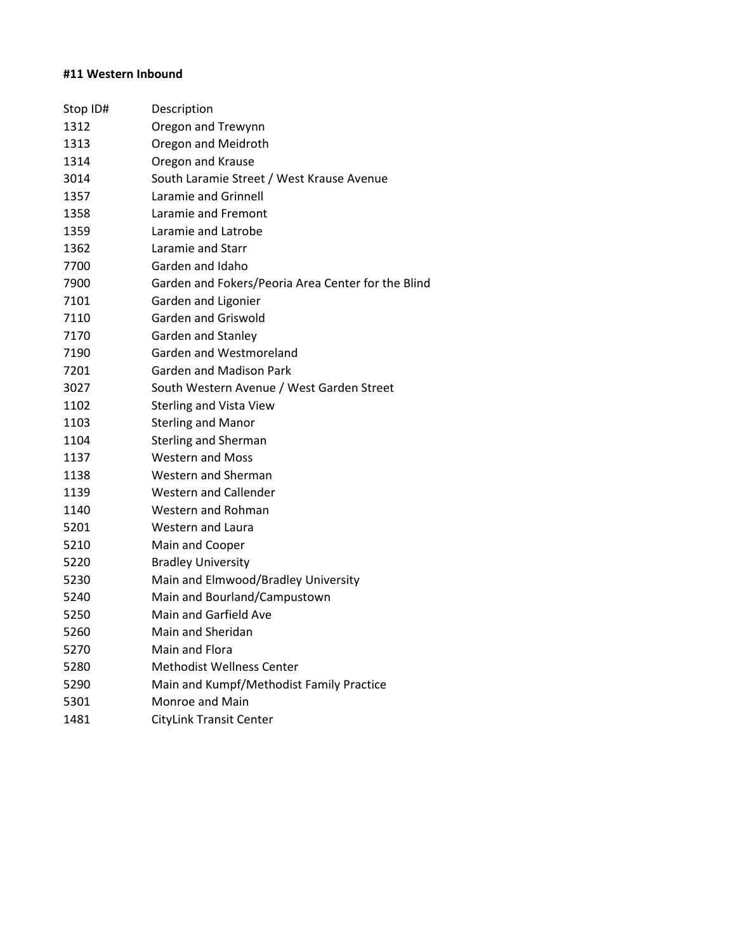# **#11 Western Inbound**

| Stop ID# | Description                                        |
|----------|----------------------------------------------------|
| 1312     | Oregon and Trewynn                                 |
| 1313     | Oregon and Meidroth                                |
| 1314     | Oregon and Krause                                  |
| 3014     | South Laramie Street / West Krause Avenue          |
| 1357     | Laramie and Grinnell                               |
| 1358     | Laramie and Fremont                                |
| 1359     | Laramie and Latrobe                                |
| 1362     | Laramie and Starr                                  |
| 7700     | Garden and Idaho                                   |
| 7900     | Garden and Fokers/Peoria Area Center for the Blind |
| 7101     | Garden and Ligonier                                |
| 7110     | Garden and Griswold                                |
| 7170     | Garden and Stanley                                 |
| 7190     | Garden and Westmoreland                            |
| 7201     | <b>Garden and Madison Park</b>                     |
| 3027     | South Western Avenue / West Garden Street          |
| 1102     | <b>Sterling and Vista View</b>                     |
| 1103     | <b>Sterling and Manor</b>                          |
| 1104     | <b>Sterling and Sherman</b>                        |
| 1137     | <b>Western and Moss</b>                            |
| 1138     | <b>Western and Sherman</b>                         |
| 1139     | <b>Western and Callender</b>                       |
| 1140     | Western and Rohman                                 |
| 5201     | <b>Western and Laura</b>                           |
| 5210     | Main and Cooper                                    |
| 5220     | <b>Bradley University</b>                          |
| 5230     | Main and Elmwood/Bradley University                |
| 5240     | Main and Bourland/Campustown                       |
| 5250     | Main and Garfield Ave                              |
| 5260     | Main and Sheridan                                  |
| 5270     | Main and Flora                                     |
| 5280     | <b>Methodist Wellness Center</b>                   |
| 5290     | Main and Kumpf/Methodist Family Practice           |
| 5301     | Monroe and Main                                    |
| 1481     | <b>CityLink Transit Center</b>                     |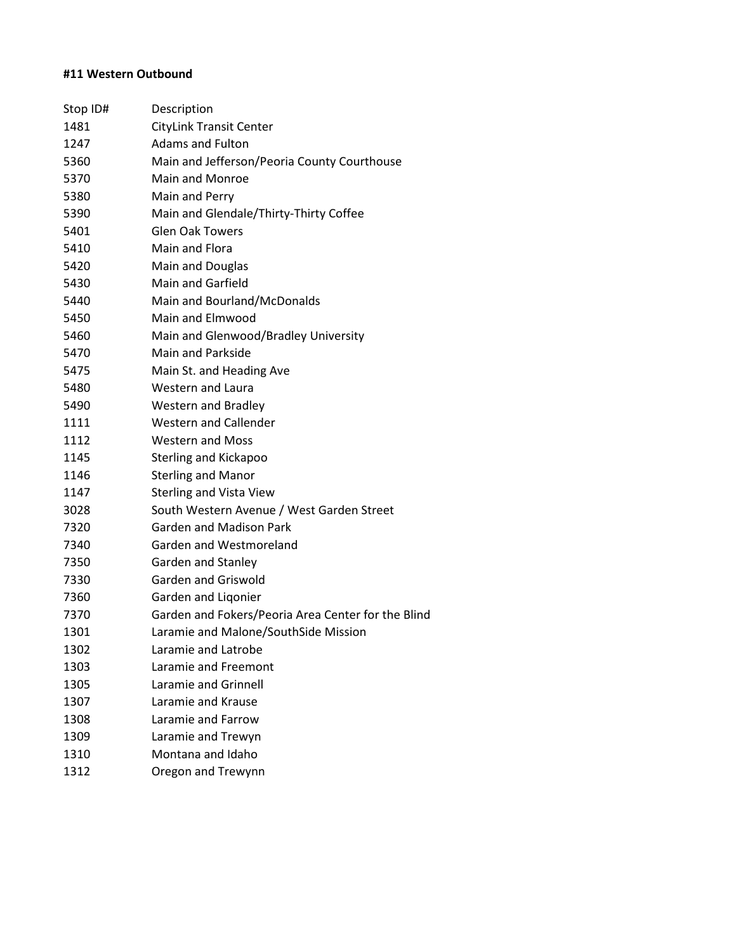# **#11 Western Outbound**

| Stop ID# | Description                                        |
|----------|----------------------------------------------------|
| 1481     | <b>CityLink Transit Center</b>                     |
| 1247     | <b>Adams and Fulton</b>                            |
| 5360     | Main and Jefferson/Peoria County Courthouse        |
| 5370     | <b>Main and Monroe</b>                             |
| 5380     | Main and Perry                                     |
| 5390     | Main and Glendale/Thirty-Thirty Coffee             |
| 5401     | <b>Glen Oak Towers</b>                             |
| 5410     | Main and Flora                                     |
| 5420     | Main and Douglas                                   |
| 5430     | <b>Main and Garfield</b>                           |
| 5440     | Main and Bourland/McDonalds                        |
| 5450     | Main and Elmwood                                   |
| 5460     | Main and Glenwood/Bradley University               |
| 5470     | Main and Parkside                                  |
| 5475     | Main St. and Heading Ave                           |
| 5480     | Western and Laura                                  |
| 5490     | Western and Bradley                                |
| 1111     | <b>Western and Callender</b>                       |
| 1112     | <b>Western and Moss</b>                            |
| 1145     | <b>Sterling and Kickapoo</b>                       |
| 1146     | <b>Sterling and Manor</b>                          |
| 1147     | <b>Sterling and Vista View</b>                     |
| 3028     | South Western Avenue / West Garden Street          |
| 7320     | <b>Garden and Madison Park</b>                     |
| 7340     | Garden and Westmoreland                            |
| 7350     | Garden and Stanley                                 |
| 7330     | Garden and Griswold                                |
| 7360     | Garden and Ligonier                                |
| 7370     | Garden and Fokers/Peoria Area Center for the Blind |
| 1301     | Laramie and Malone/SouthSide Mission               |
| 1302     | Laramie and Latrobe                                |
| 1303     | <b>Laramie and Freemont</b>                        |
| 1305     | Laramie and Grinnell                               |
| 1307     | Laramie and Krause                                 |
| 1308     | Laramie and Farrow                                 |
| 1309     | Laramie and Trewyn                                 |
| 1310     | Montana and Idaho                                  |
| 1312     | Oregon and Trewynn                                 |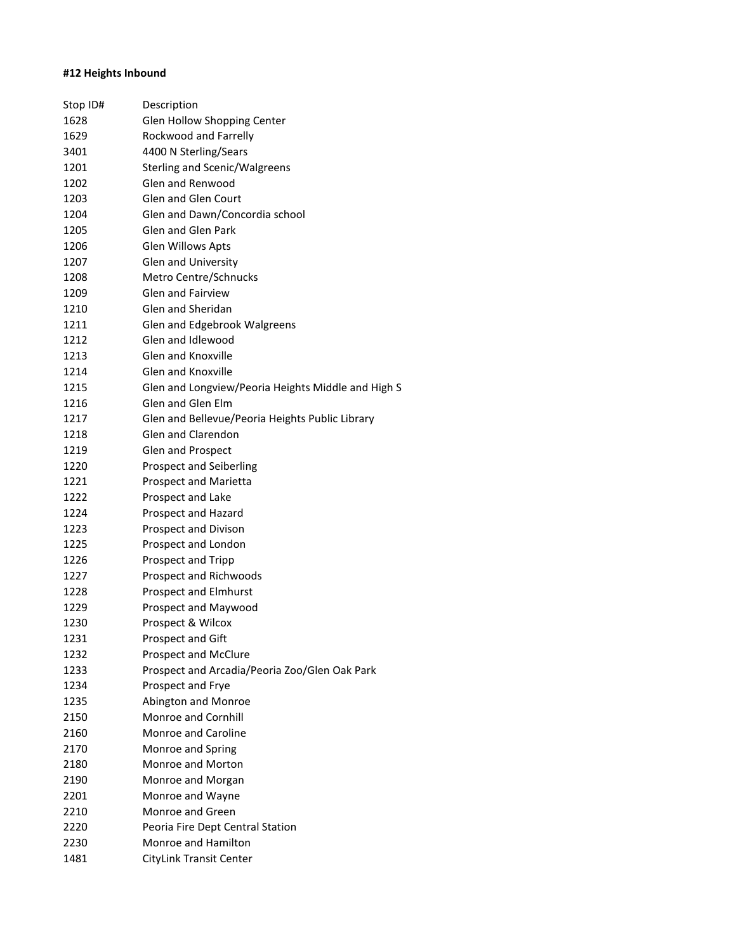### **#12 Heights Inbound**

| Stop ID# | Description                                        |
|----------|----------------------------------------------------|
| 1628     | Glen Hollow Shopping Center                        |
| 1629     | Rockwood and Farrelly                              |
| 3401     | 4400 N Sterling/Sears                              |
| 1201     | Sterling and Scenic/Walgreens                      |
| 1202     | Glen and Renwood                                   |
| 1203     | <b>Glen and Glen Court</b>                         |
| 1204     | Glen and Dawn/Concordia school                     |
| 1205     | Glen and Glen Park                                 |
| 1206     | <b>Glen Willows Apts</b>                           |
| 1207     | Glen and University                                |
| 1208     | Metro Centre/Schnucks                              |
| 1209     | <b>Glen and Fairview</b>                           |
| 1210     | Glen and Sheridan                                  |
| 1211     | Glen and Edgebrook Walgreens                       |
| 1212     | Glen and Idlewood                                  |
| 1213     | <b>Glen and Knoxville</b>                          |
| 1214     | <b>Glen and Knoxville</b>                          |
| 1215     | Glen and Longview/Peoria Heights Middle and High S |
| 1216     | Glen and Glen Flm                                  |
| 1217     | Glen and Bellevue/Peoria Heights Public Library    |
| 1218     | Glen and Clarendon                                 |
| 1219     | Glen and Prospect                                  |
| 1220     | <b>Prospect and Seiberling</b>                     |
| 1221     | <b>Prospect and Marietta</b>                       |
| 1222     | Prospect and Lake                                  |
| 1224     | Prospect and Hazard                                |
| 1223     | <b>Prospect and Divison</b>                        |
| 1225     | Prospect and London                                |
| 1226     | Prospect and Tripp                                 |
| 1227     | Prospect and Richwoods                             |
| 1228     | <b>Prospect and Elmhurst</b>                       |
| 1229     | Prospect and Maywood                               |
| 1230     | Prospect & Wilcox                                  |
| 1231     | Prospect and Gift                                  |
| 1232     | <b>Prospect and McClure</b>                        |
| 1233     | Prospect and Arcadia/Peoria Zoo/Glen Oak Park      |
| 1234     | Prospect and Frye                                  |
| 1235     | Abington and Monroe                                |
| 2150     | <b>Monroe and Cornhill</b>                         |
| 2160     | <b>Monroe and Caroline</b>                         |
| 2170     | Monroe and Spring                                  |
| 2180     | Monroe and Morton                                  |
| 2190     | Monroe and Morgan                                  |
| 2201     | Monroe and Wayne                                   |
| 2210     | Monroe and Green                                   |
| 2220     | Peoria Fire Dept Central Station                   |
| 2230     | Monroe and Hamilton                                |
| 1481     | CityLink Transit Center                            |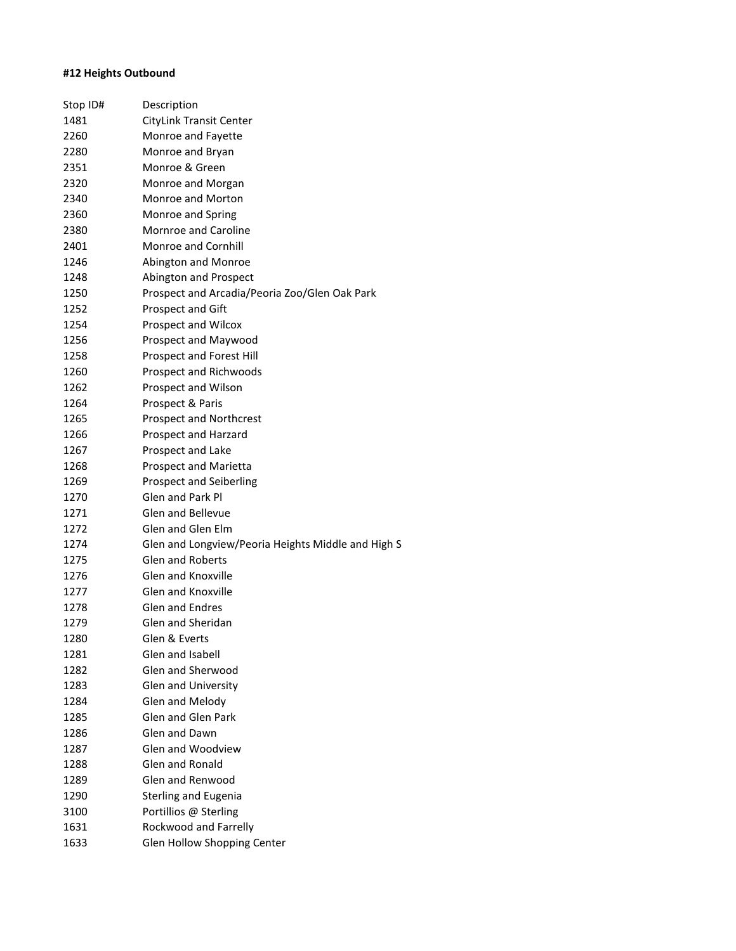### **#12 Heights Outbound**

| Stop ID# | Description                                        |
|----------|----------------------------------------------------|
| 1481     | <b>CityLink Transit Center</b>                     |
| 2260     | Monroe and Fayette                                 |
| 2280     | Monroe and Bryan                                   |
| 2351     | Monroe & Green                                     |
| 2320     | Monroe and Morgan                                  |
| 2340     | Monroe and Morton                                  |
| 2360     | Monroe and Spring                                  |
| 2380     | <b>Mornroe and Caroline</b>                        |
| 2401     | <b>Monroe and Cornhill</b>                         |
| 1246     | Abington and Monroe                                |
| 1248     | Abington and Prospect                              |
| 1250     | Prospect and Arcadia/Peoria Zoo/Glen Oak Park      |
| 1252     | <b>Prospect and Gift</b>                           |
| 1254     | Prospect and Wilcox                                |
| 1256     | Prospect and Maywood                               |
| 1258     | Prospect and Forest Hill                           |
| 1260     | Prospect and Richwoods                             |
| 1262     | Prospect and Wilson                                |
| 1264     | Prospect & Paris                                   |
| 1265     | <b>Prospect and Northcrest</b>                     |
| 1266     | Prospect and Harzard                               |
| 1267     | Prospect and Lake                                  |
| 1268     | Prospect and Marietta                              |
| 1269     | Prospect and Seiberling                            |
| 1270     | Glen and Park Pl                                   |
| 1271     | <b>Glen and Bellevue</b>                           |
| 1272     | Glen and Glen Elm                                  |
| 1274     | Glen and Longview/Peoria Heights Middle and High S |
| 1275     | <b>Glen and Roberts</b>                            |
| 1276     | <b>Glen and Knoxville</b>                          |
| 1277     | <b>Glen and Knoxville</b>                          |
| 1278     | <b>Glen and Endres</b>                             |
| 1279     | Glen and Sheridan                                  |
| 1280     | Glen & Everts                                      |
| 1281     | Glen and Isabell                                   |
| 1282     | Glen and Sherwood                                  |
| 1283     | Glen and University                                |
| 1284     | Glen and Melody                                    |
| 1285     | Glen and Glen Park                                 |
| 1286     | Glen and Dawn                                      |
| 1287     | Glen and Woodview                                  |
| 1288     | Glen and Ronald                                    |
| 1289     | Glen and Renwood                                   |
| 1290     | <b>Sterling and Eugenia</b>                        |
| 3100     | Portillios @ Sterling                              |
| 1631     | Rockwood and Farrelly                              |
| 1633     | Glen Hollow Shopping Center                        |
|          |                                                    |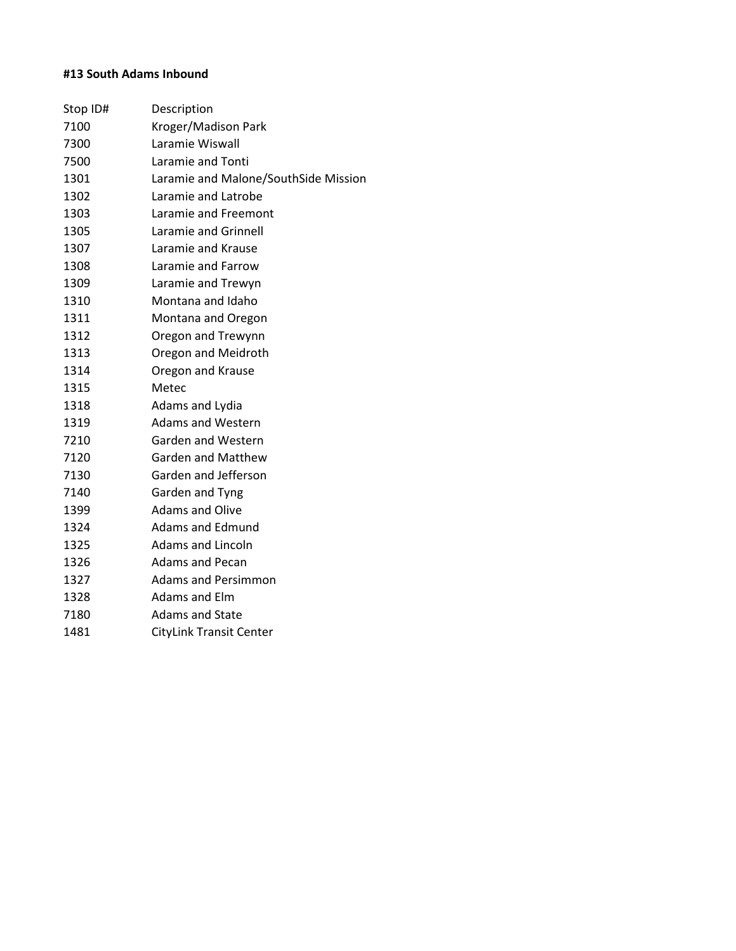# **#13 South Adams Inbound**

| Stop ID# | Description                          |
|----------|--------------------------------------|
| 7100     | Kroger/Madison Park                  |
| 7300     | Laramie Wiswall                      |
| 7500     | Laramie and Tonti                    |
| 1301     | Laramie and Malone/SouthSide Mission |
| 1302     | Laramie and Latrobe                  |
| 1303     | Laramie and Freemont                 |
| 1305     | Laramie and Grinnell                 |
| 1307     | Laramie and Krause                   |
| 1308     | Laramie and Farrow                   |
| 1309     | Laramie and Trewyn                   |
| 1310     | Montana and Idaho                    |
| 1311     | Montana and Oregon                   |
| 1312     | Oregon and Trewynn                   |
| 1313     | Oregon and Meidroth                  |
| 1314     | Oregon and Krause                    |
| 1315     | Metec                                |
| 1318     | Adams and Lydia                      |
| 1319     | <b>Adams and Western</b>             |
| 7210     | <b>Garden and Western</b>            |
| 7120     | <b>Garden and Matthew</b>            |
| 7130     | Garden and Jefferson                 |
| 7140     | Garden and Tyng                      |
| 1399     | <b>Adams and Olive</b>               |
| 1324     | Adams and Edmund                     |
| 1325     | Adams and Lincoln                    |
| 1326     | <b>Adams and Pecan</b>               |
| 1327     | <b>Adams and Persimmon</b>           |
| 1328     | Adams and Elm                        |
| 7180     | <b>Adams and State</b>               |
| 1481     | <b>CityLink Transit Center</b>       |
|          |                                      |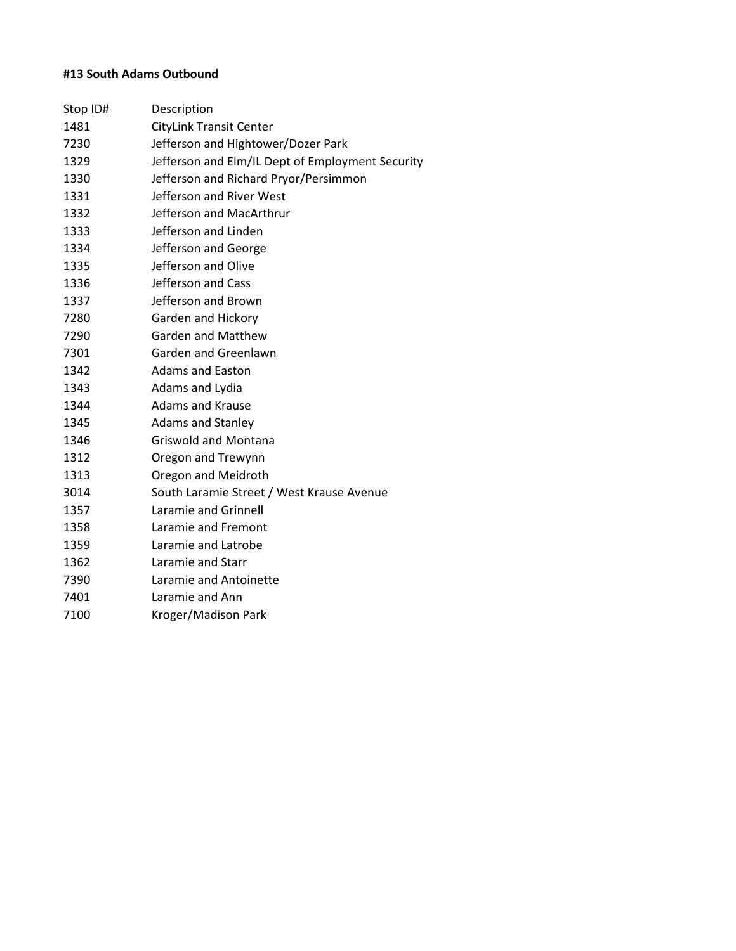### **#13 South Adams Outbound**

| Stop ID# | Description                                      |
|----------|--------------------------------------------------|
| 1481     | <b>CityLink Transit Center</b>                   |
| 7230     | Jefferson and Hightower/Dozer Park               |
| 1329     | Jefferson and Elm/IL Dept of Employment Security |
| 1330     | Jefferson and Richard Pryor/Persimmon            |
| 1331     | Jefferson and River West                         |
| 1332     | Jefferson and MacArthrur                         |
| 1333     | Jefferson and Linden                             |
| 1334     | Jefferson and George                             |
| 1335     | Jefferson and Olive                              |
| 1336     | Jefferson and Cass                               |
| 1337     | Jefferson and Brown                              |
| 7280     | Garden and Hickory                               |
| 7290     | <b>Garden and Matthew</b>                        |
| 7301     | Garden and Greenlawn                             |
| 1342     | <b>Adams and Easton</b>                          |
| 1343     | Adams and Lydia                                  |
| 1344     | <b>Adams and Krause</b>                          |
| 1345     | <b>Adams and Stanley</b>                         |
| 1346     | <b>Griswold and Montana</b>                      |
| 1312     | Oregon and Trewynn                               |
| 1313     | Oregon and Meidroth                              |
| 3014     | South Laramie Street / West Krause Avenue        |
| 1357     | Laramie and Grinnell                             |
| 1358     | Laramie and Fremont                              |
| 1359     | Laramie and Latrobe                              |
| 1362     | Laramie and Starr                                |
| 7390     | Laramie and Antoinette                           |
| 7401     | Laramie and Ann                                  |
| 7100     | Kroger/Madison Park                              |
|          |                                                  |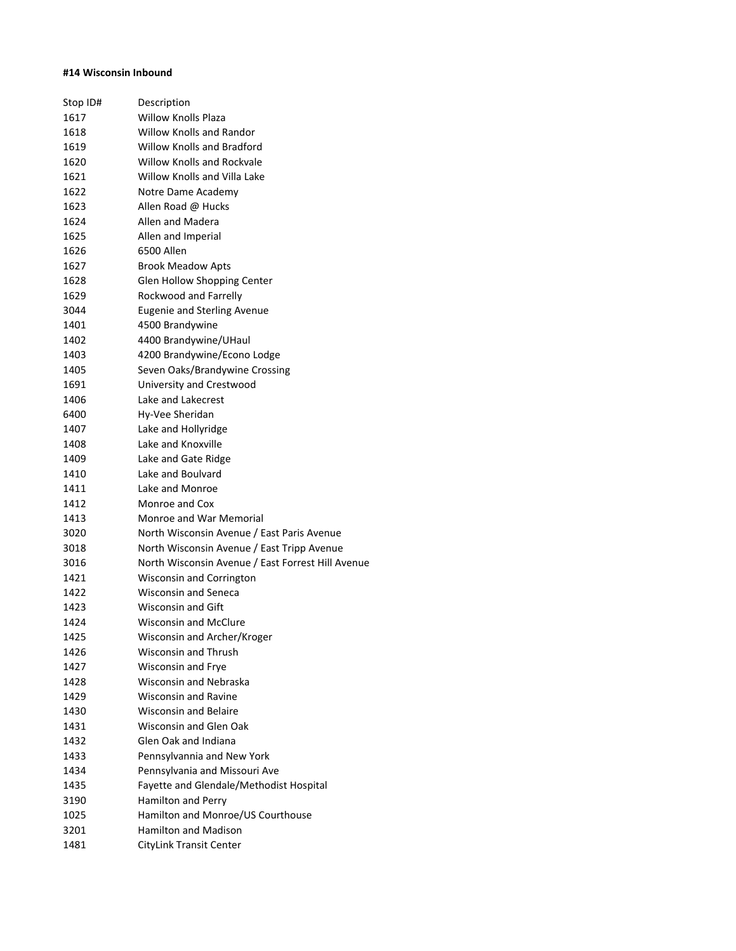#### **#14 Wisconsin Inbound**

| Stop ID# | Description                                       |
|----------|---------------------------------------------------|
| 1617     | <b>Willow Knolls Plaza</b>                        |
| 1618     | <b>Willow Knolls and Randor</b>                   |
| 1619     | <b>Willow Knolls and Bradford</b>                 |
| 1620     | Willow Knolls and Rockvale                        |
| 1621     | Willow Knolls and Villa Lake                      |
| 1622     | Notre Dame Academy                                |
| 1623     | Allen Road @ Hucks                                |
| 1624     | Allen and Madera                                  |
| 1625     | Allen and Imperial                                |
| 1626     | 6500 Allen                                        |
| 1627     | <b>Brook Meadow Apts</b>                          |
| 1628     | Glen Hollow Shopping Center                       |
| 1629     | Rockwood and Farrelly                             |
| 3044     | <b>Eugenie and Sterling Avenue</b>                |
| 1401     | 4500 Brandywine                                   |
| 1402     | 4400 Brandywine/UHaul                             |
| 1403     | 4200 Brandywine/Econo Lodge                       |
| 1405     | Seven Oaks/Brandywine Crossing                    |
| 1691     | University and Crestwood                          |
| 1406     | Lake and Lakecrest                                |
| 6400     | Hy-Vee Sheridan                                   |
| 1407     | Lake and Hollyridge                               |
| 1408     | Lake and Knoxville                                |
| 1409     | Lake and Gate Ridge                               |
| 1410     | Lake and Boulvard                                 |
| 1411     | Lake and Monroe                                   |
| 1412     | Monroe and Cox                                    |
| 1413     | Monroe and War Memorial                           |
| 3020     | North Wisconsin Avenue / East Paris Avenue        |
| 3018     | North Wisconsin Avenue / East Tripp Avenue        |
| 3016     | North Wisconsin Avenue / East Forrest Hill Avenue |
| 1421     | Wisconsin and Corrington                          |
| 1422     | Wisconsin and Seneca                              |
| 1423     | <b>Wisconsin and Gift</b>                         |
| 1424     | <b>Wisconsin and McClure</b>                      |
| 1425     | Wisconsin and Archer/Kroger                       |
| 1426     | Wisconsin and Thrush                              |
| 1427     | Wisconsin and Frye                                |
| 1428     | Wisconsin and Nebraska                            |
| 1429     | <b>Wisconsin and Ravine</b>                       |
| 1430     | <b>Wisconsin and Belaire</b>                      |
| 1431     | Wisconsin and Glen Oak                            |
| 1432     | Glen Oak and Indiana                              |
| 1433     | Pennsylvannia and New York                        |
| 1434     | Pennsylvania and Missouri Ave                     |
| 1435     | Fayette and Glendale/Methodist Hospital           |
| 3190     | Hamilton and Perry                                |
| 1025     | Hamilton and Monroe/US Courthouse                 |
| 3201     | Hamilton and Madison                              |
| 1481     | <b>CityLink Transit Center</b>                    |
|          |                                                   |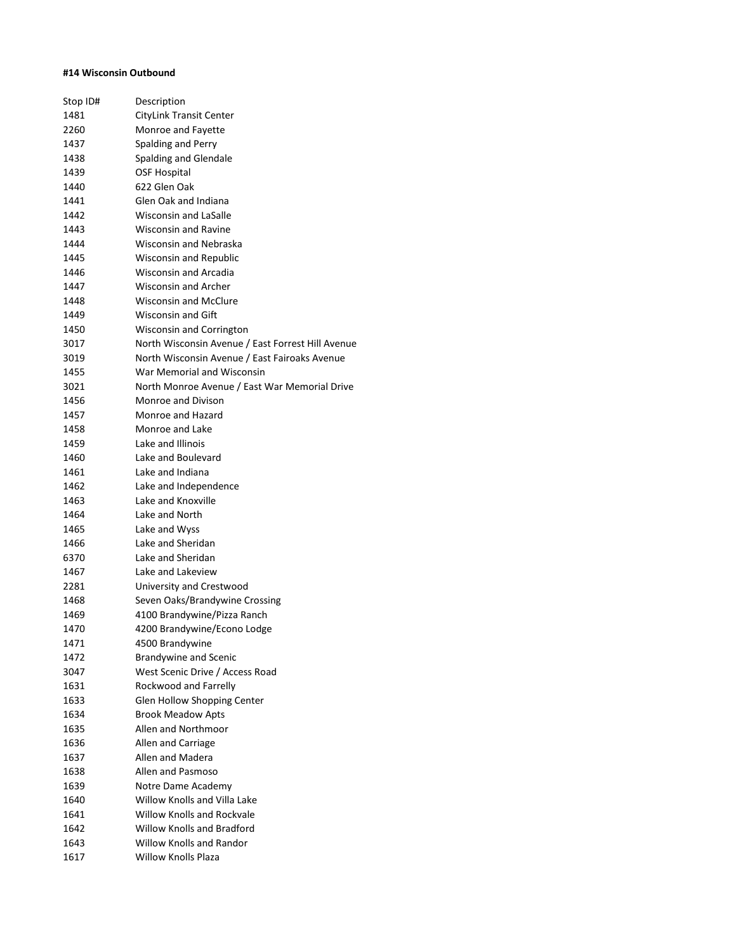#### **#14 Wisconsin Outbound**

| Stop ID# | Description                                       |
|----------|---------------------------------------------------|
| 1481     | CityLink Transit Center                           |
| 2260     | Monroe and Fayette                                |
| 1437     | Spalding and Perry                                |
| 1438     | Spalding and Glendale                             |
| 1439     | OSF Hospital                                      |
| 1440     | 622 Glen Oak                                      |
| 1441     | Glen Oak and Indiana                              |
| 1442     | <b>Wisconsin and LaSalle</b>                      |
| 1443     | <b>Wisconsin and Ravine</b>                       |
| 1444     | Wisconsin and Nebraska                            |
| 1445     | <b>Wisconsin and Republic</b>                     |
| 1446     | <b>Wisconsin and Arcadia</b>                      |
| 1447     | <b>Wisconsin and Archer</b>                       |
| 1448     | <b>Wisconsin and McClure</b>                      |
| 1449     | <b>Wisconsin and Gift</b>                         |
| 1450     | Wisconsin and Corrington                          |
| 3017     | North Wisconsin Avenue / East Forrest Hill Avenue |
| 3019     | North Wisconsin Avenue / East Fairoaks Avenue     |
| 1455     | War Memorial and Wisconsin                        |
| 3021     | North Monroe Avenue / East War Memorial Drive     |
| 1456     | Monroe and Divison                                |
| 1457     | Monroe and Hazard                                 |
| 1458     | Monroe and Lake                                   |
| 1459     | Lake and Illinois                                 |
| 1460     | Lake and Boulevard                                |
| 1461     | Lake and Indiana                                  |
| 1462     | Lake and Independence                             |
| 1463     | Lake and Knoxville                                |
| 1464     | Lake and North                                    |
| 1465     | Lake and Wyss                                     |
| 1466     | Lake and Sheridan                                 |
| 6370     | Lake and Sheridan                                 |
| 1467     | Lake and Lakeview                                 |
| 2281     | University and Crestwood                          |
| 1468     | Seven Oaks/Brandywine Crossing                    |
| 1469     | 4100 Brandywine/Pizza Ranch                       |
| 1470     | 4200 Brandywine/Econo Lodge                       |
| 1471     | 4500 Brandywine                                   |
| 1472     | <b>Brandywine and Scenic</b>                      |
| 3047     | West Scenic Drive / Access Road                   |
| 1631     | Rockwood and Farrelly                             |
| 1633     | Glen Hollow Shopping Center                       |
| 1634     | <b>Brook Meadow Apts</b>                          |
| 1635     | Allen and Northmoor                               |
| 1636     | Allen and Carriage                                |
| 1637     | Allen and Madera                                  |
| 1638     | Allen and Pasmoso                                 |
| 1639     | Notre Dame Academy                                |
| 1640     | Willow Knolls and Villa Lake                      |
| 1641     | <b>Willow Knolls and Rockvale</b>                 |
| 1642     | <b>Willow Knolls and Bradford</b>                 |
| 1643     | <b>Willow Knolls and Randor</b>                   |
| 1617     | <b>Willow Knolls Plaza</b>                        |
|          |                                                   |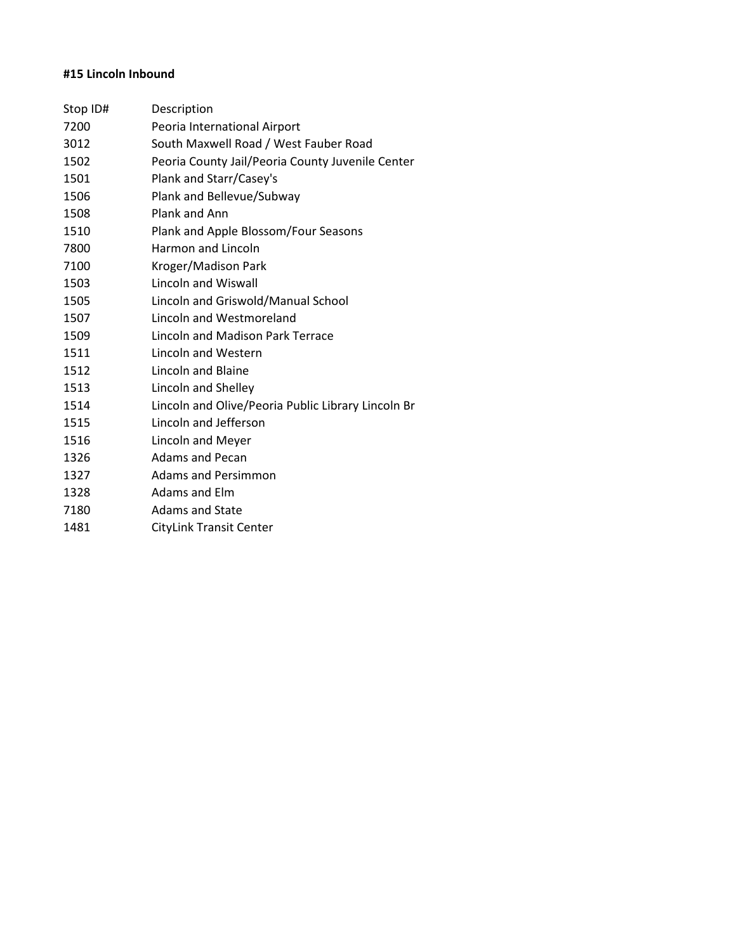# **#15 Lincoln Inbound**

| Stop ID# | Description                                        |
|----------|----------------------------------------------------|
| 7200     | Peoria International Airport                       |
| 3012     | South Maxwell Road / West Fauber Road              |
| 1502     | Peoria County Jail/Peoria County Juvenile Center   |
| 1501     | Plank and Starr/Casey's                            |
| 1506     | Plank and Bellevue/Subway                          |
| 1508     | Plank and Ann                                      |
| 1510     | Plank and Apple Blossom/Four Seasons               |
| 7800     | <b>Harmon and Lincoln</b>                          |
| 7100     | Kroger/Madison Park                                |
| 1503     | <b>Lincoln and Wiswall</b>                         |
| 1505     | Lincoln and Griswold/Manual School                 |
| 1507     | Lincoln and Westmoreland                           |
| 1509     | Lincoln and Madison Park Terrace                   |
| 1511     | <b>Lincoln and Western</b>                         |
| 1512     | Lincoln and Blaine                                 |
| 1513     | Lincoln and Shelley                                |
| 1514     | Lincoln and Olive/Peoria Public Library Lincoln Br |
| 1515     | Lincoln and Jefferson                              |
| 1516     | Lincoln and Meyer                                  |
| 1326     | <b>Adams and Pecan</b>                             |
| 1327     | Adams and Persimmon                                |
| 1328     | Adams and Elm                                      |
| 7180     | <b>Adams and State</b>                             |
| 1481     | <b>CityLink Transit Center</b>                     |
|          |                                                    |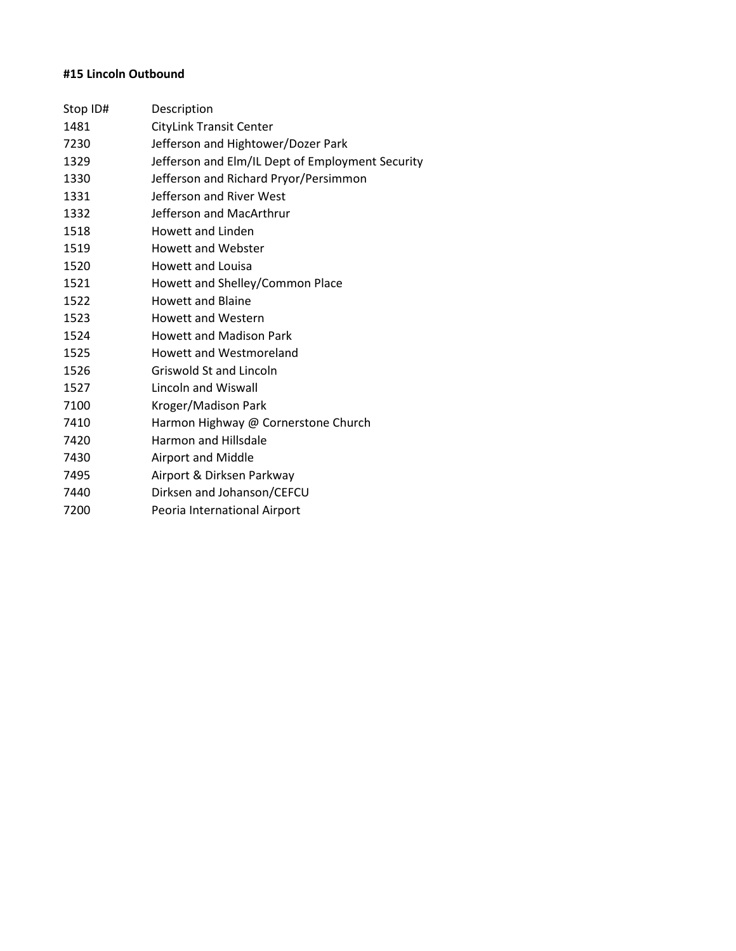# **#15 Lincoln Outbound**

| Description                                      |
|--------------------------------------------------|
| <b>CityLink Transit Center</b>                   |
| Jefferson and Hightower/Dozer Park               |
| Jefferson and Elm/IL Dept of Employment Security |
| Jefferson and Richard Pryor/Persimmon            |
| Jefferson and River West                         |
| Jefferson and MacArthrur                         |
| Howett and Linden                                |
| Howett and Webster                               |
| Howett and Louisa                                |
| Howett and Shelley/Common Place                  |
| <b>Howett and Blaine</b>                         |
| <b>Howett and Western</b>                        |
| <b>Howett and Madison Park</b>                   |
| <b>Howett and Westmoreland</b>                   |
| Griswold St and Lincoln                          |
| Lincoln and Wiswall                              |
| Kroger/Madison Park                              |
| Harmon Highway @ Cornerstone Church              |
| <b>Harmon and Hillsdale</b>                      |
| <b>Airport and Middle</b>                        |
| Airport & Dirksen Parkway                        |
| Dirksen and Johanson/CEFCU                       |
| Peoria International Airport                     |
|                                                  |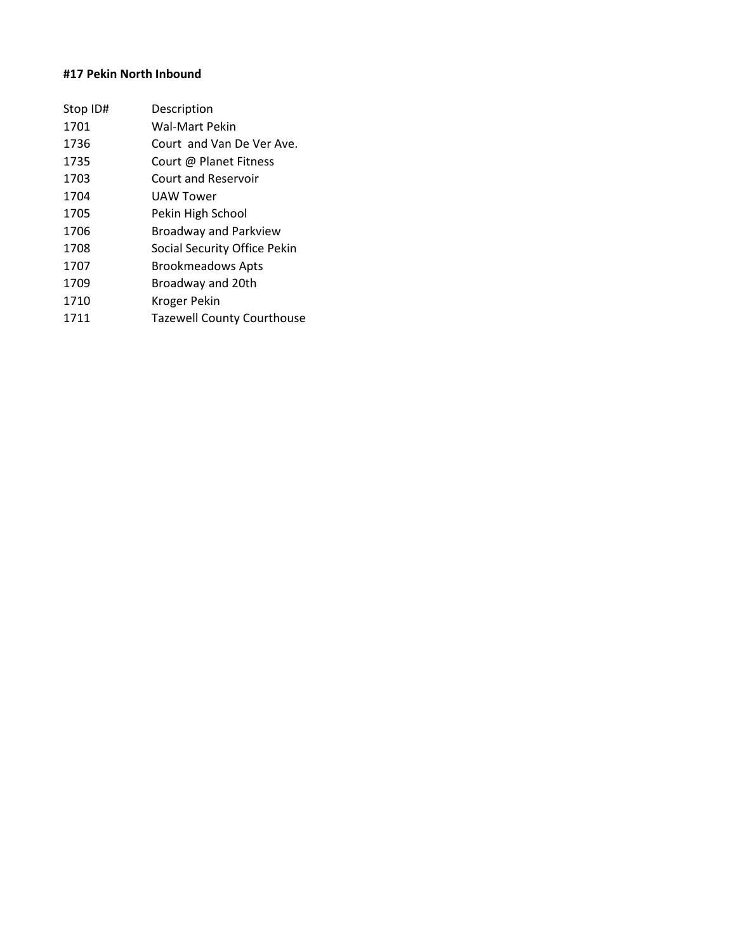# **#17 Pekin North Inbound**

| Stop ID# | Description                       |
|----------|-----------------------------------|
| 1701     | <b>Wal-Mart Pekin</b>             |
| 1736     | Court, and Van De Ver Ave.        |
| 1735     | Court @ Planet Fitness            |
| 1703     | Court and Reservoir               |
| 1704     | UAW Tower                         |
| 1705     | Pekin High School                 |
| 1706     | <b>Broadway and Parkview</b>      |
| 1708     | Social Security Office Pekin      |
| 1707     | <b>Brookmeadows Apts</b>          |
| 1709     | Broadway and 20th                 |
| 1710     | Kroger Pekin                      |
| 1711     | <b>Tazewell County Courthouse</b> |
|          |                                   |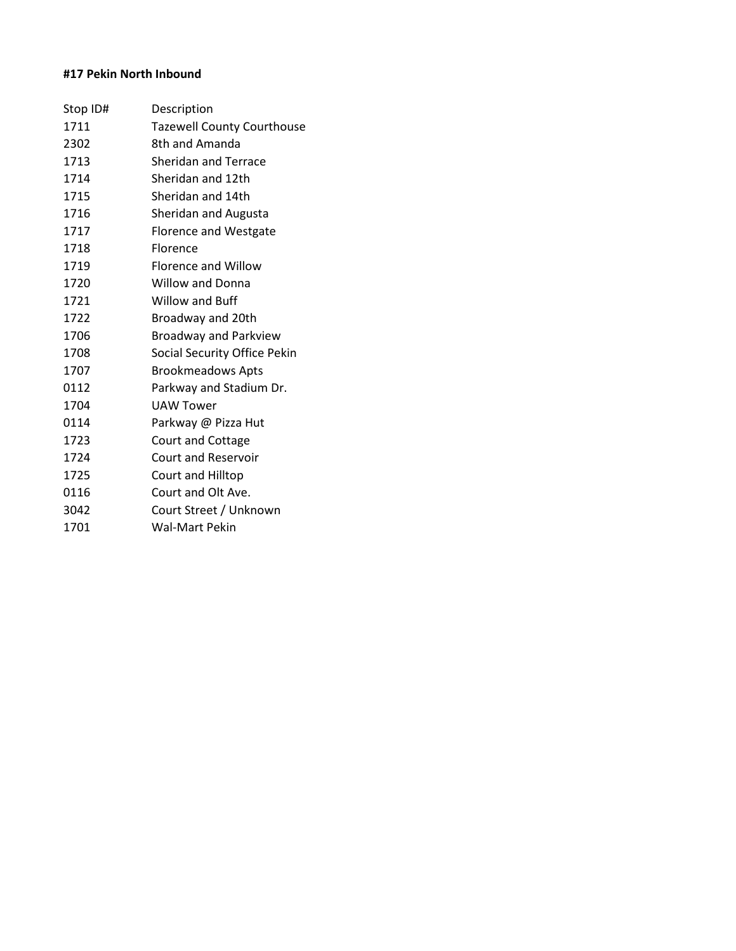# **#17 Pekin North Inbound**

| Stop ID# | Description                       |
|----------|-----------------------------------|
| 1711     | <b>Tazewell County Courthouse</b> |
| 2302     | 8th and Amanda                    |
| 1713     | <b>Sheridan and Terrace</b>       |
| 1714     | Sheridan and 12th                 |
| 1715     | Sheridan and 14th                 |
| 1716     | Sheridan and Augusta              |
| 1717     | <b>Florence and Westgate</b>      |
| 1718     | Florence                          |
| 1719     | Florence and Willow               |
| 1720     | <b>Willow and Donna</b>           |
| 1721     | Willow and Buff                   |
| 1722     | Broadway and 20th                 |
| 1706     | <b>Broadway and Parkview</b>      |
| 1708     | Social Security Office Pekin      |
| 1707     | <b>Brookmeadows Apts</b>          |
| 0112     | Parkway and Stadium Dr.           |
| 1704     | <b>UAW Tower</b>                  |
| 0114     | Parkway @ Pizza Hut               |
| 1723     | Court and Cottage                 |
| 1724     | <b>Court and Reservoir</b>        |
| 1725     | Court and Hilltop                 |
| 0116     | Court and Olt Ave.                |
| 3042     | Court Street / Unknown            |
| 1701     | Wal-Mart Pekin                    |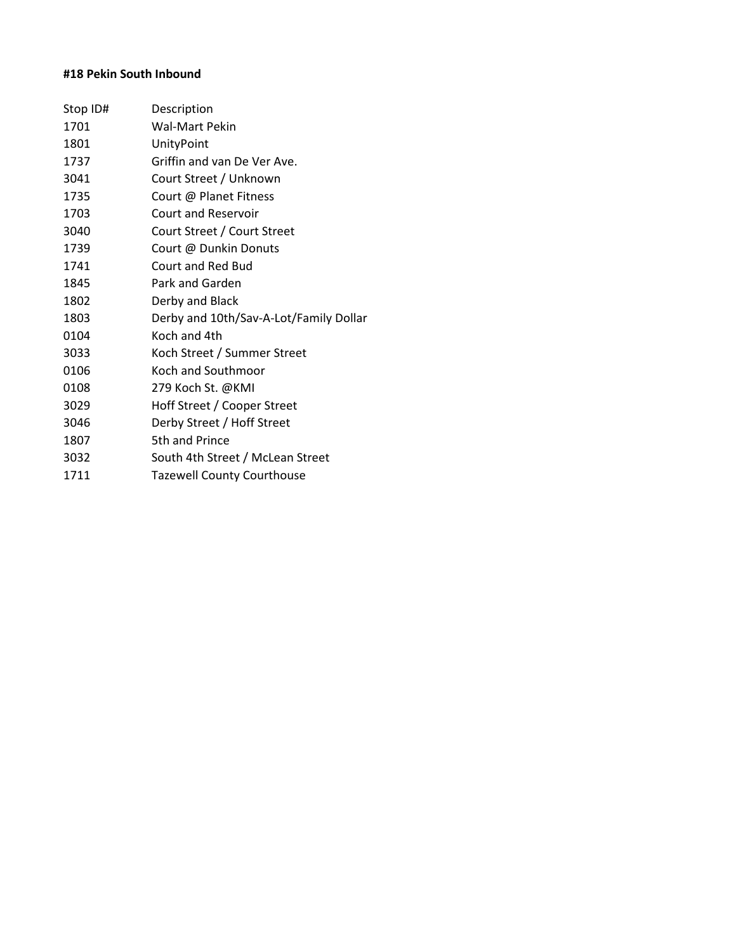# **#18 Pekin South Inbound**

| Stop ID# | Description                            |
|----------|----------------------------------------|
| 1701     | Wal-Mart Pekin                         |
| 1801     | UnityPoint                             |
| 1737     | Griffin and van De Ver Ave.            |
| 3041     | Court Street / Unknown                 |
| 1735     | Court @ Planet Fitness                 |
| 1703     | <b>Court and Reservoir</b>             |
| 3040     | Court Street / Court Street            |
| 1739     | Court @ Dunkin Donuts                  |
| 1741     | Court and Red Bud                      |
| 1845     | Park and Garden                        |
| 1802     | Derby and Black                        |
| 1803     | Derby and 10th/Sav-A-Lot/Family Dollar |
| 0104     | Koch and 4th                           |
| 3033     | Koch Street / Summer Street            |
| 0106     | Koch and Southmoor                     |
| 0108     | 279 Koch St. @KMI                      |
| 3029     | Hoff Street / Cooper Street            |
| 3046     | Derby Street / Hoff Street             |
| 1807     | 5th and Prince                         |
| 3032     | South 4th Street / McLean Street       |
| 1711     | <b>Tazewell County Courthouse</b>      |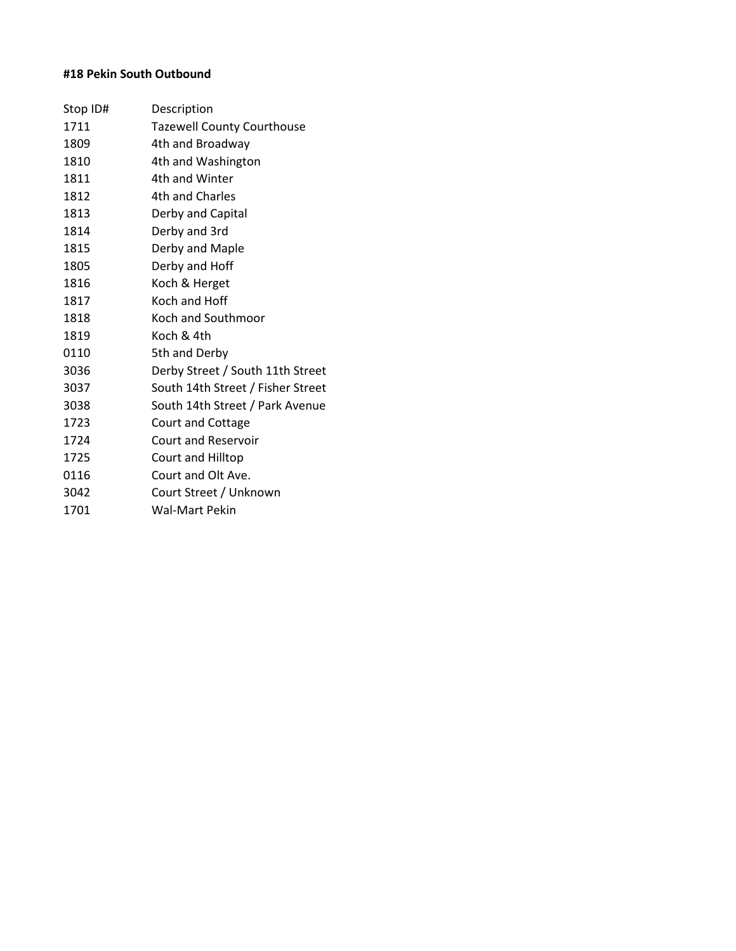# **#18 Pekin South Outbound**

| Stop ID# | Description                       |
|----------|-----------------------------------|
| 1711     | <b>Tazewell County Courthouse</b> |
| 1809     | 4th and Broadway                  |
| 1810     | 4th and Washington                |
| 1811     | 4th and Winter                    |
| 1812     | 4th and Charles                   |
| 1813     | Derby and Capital                 |
| 1814     | Derby and 3rd                     |
| 1815     | Derby and Maple                   |
| 1805     | Derby and Hoff                    |
| 1816     | Koch & Herget                     |
| 1817     | Koch and Hoff                     |
| 1818     | Koch and Southmoor                |
| 1819     | Koch & 4th                        |
| 0110     | 5th and Derby                     |
| 3036     | Derby Street / South 11th Street  |
| 3037     | South 14th Street / Fisher Street |
| 3038     | South 14th Street / Park Avenue   |
| 1723     | <b>Court and Cottage</b>          |
| 1724     | <b>Court and Reservoir</b>        |
| 1725     | Court and Hilltop                 |
| 0116     | Court and Olt Ave.                |
| 3042     | Court Street / Unknown            |
| 1701     | Wal-Mart Pekin                    |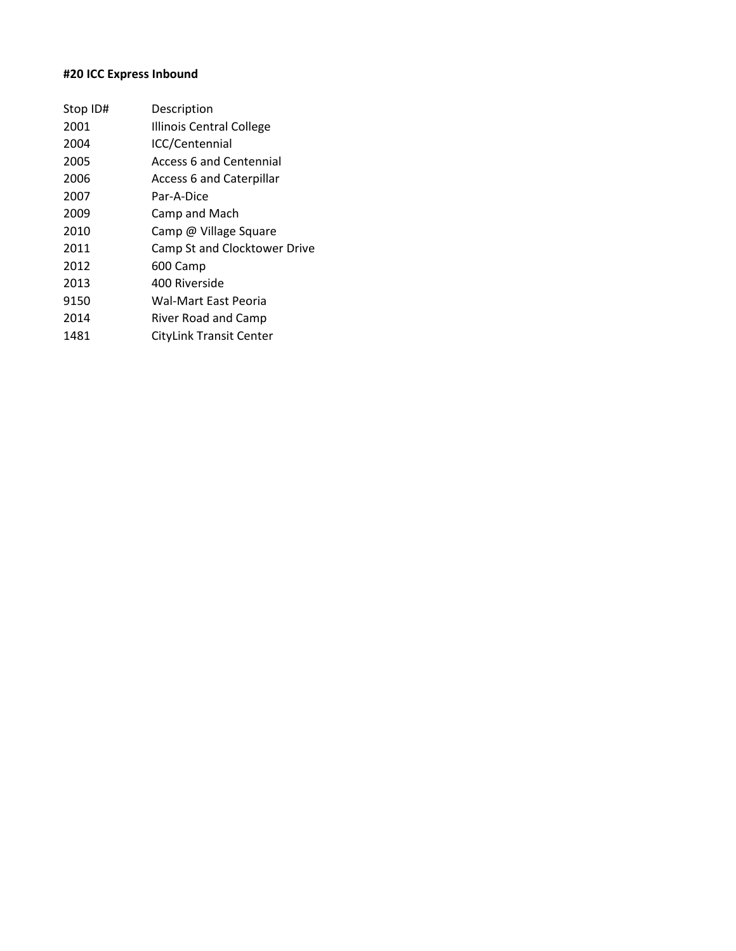# **#20 ICC Express Inbound**

| Stop ID# | Description                     |
|----------|---------------------------------|
| 2001     | <b>Illinois Central College</b> |
| 2004     | ICC/Centennial                  |
| 2005     | Access 6 and Centennial         |
| 2006     | <b>Access 6 and Caterpillar</b> |
| 2007     | Par-A-Dice                      |
| 2009     | Camp and Mach                   |
| 2010     | Camp @ Village Square           |
| 2011     | Camp St and Clocktower Drive    |
| 2012     | 600 Camp                        |
| 2013     | 400 Riverside                   |
| 9150     | Wal-Mart East Peoria            |
| 2014     | River Road and Camp             |
| 1481     | <b>CityLink Transit Center</b>  |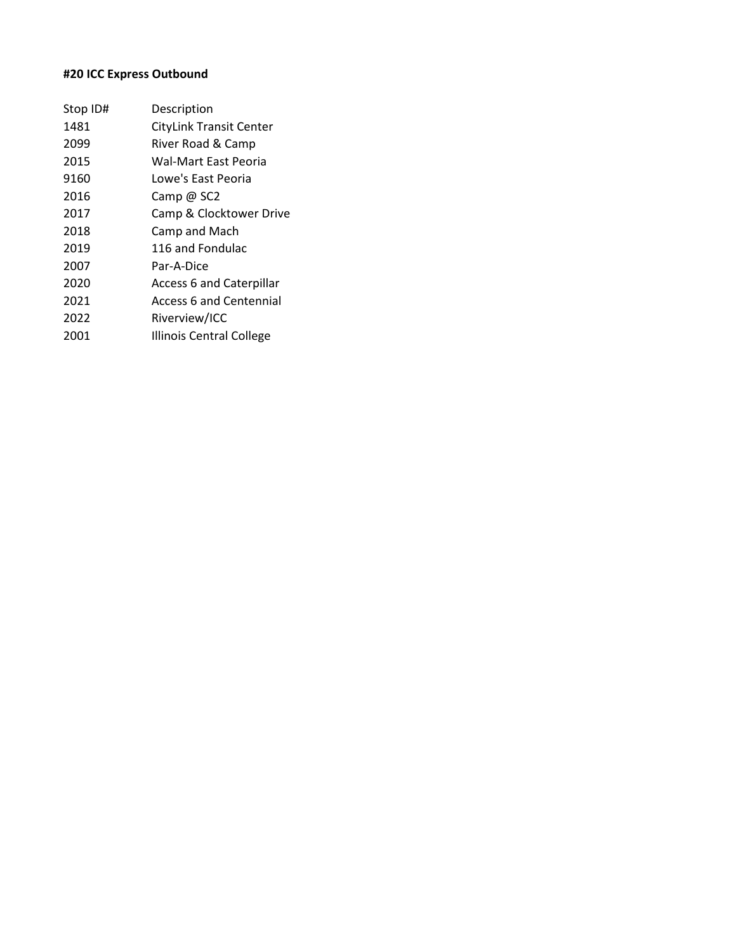# **#20 ICC Express Outbound**

| Stop ID# | Description                     |
|----------|---------------------------------|
| 1481     | CityLink Transit Center         |
| 2099     | River Road & Camp               |
| 2015     | Wal-Mart East Peoria            |
| 9160     | Lowe's East Peoria              |
| 2016     | Camp @ SC2                      |
| 2017     | Camp & Clocktower Drive         |
| 2018     | Camp and Mach                   |
| 2019     | 116 and Fondulac                |
| 2007     | Par-A-Dice                      |
| 2020     | <b>Access 6 and Caterpillar</b> |
| 2021     | <b>Access 6 and Centennial</b>  |
| 2022     | Riverview/ICC                   |
| 2001     | <b>Illinois Central College</b> |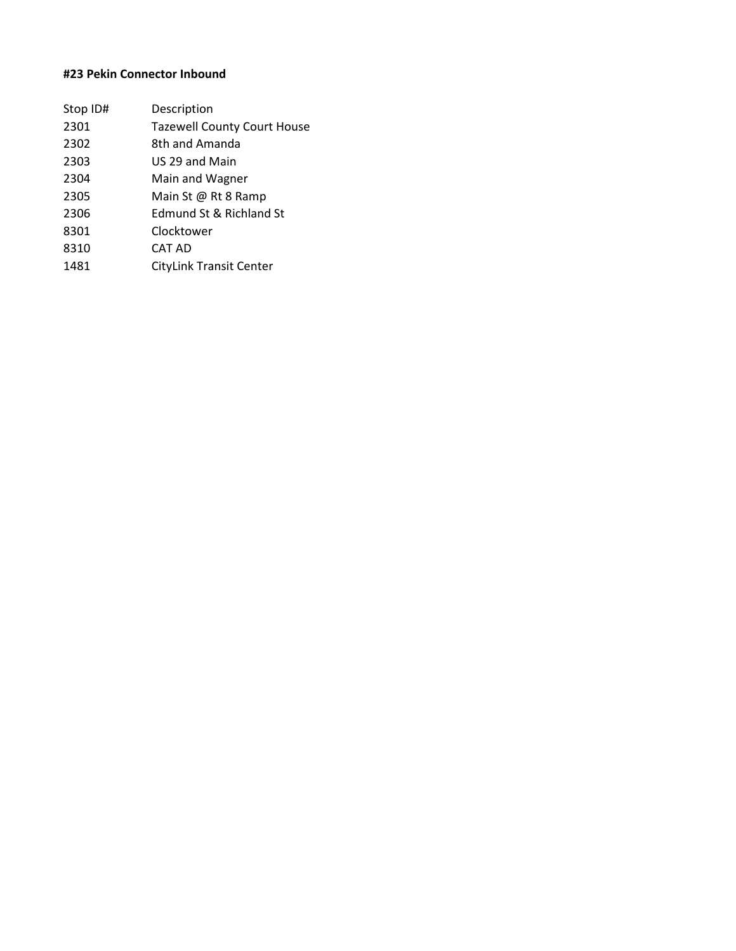# **#23 Pekin Connector Inbound**

| Stop ID# | Description                        |
|----------|------------------------------------|
| 2301     | <b>Tazewell County Court House</b> |
| 2302     | 8th and Amanda                     |
| 2303     | US 29 and Main                     |
| 2304     | Main and Wagner                    |
| 2305     | Main St @ Rt 8 Ramp                |
| 2306     | Edmund St & Richland St            |
| 8301     | Clocktower                         |
| 8310     | CAT AD                             |
| 1481     | <b>CityLink Transit Center</b>     |